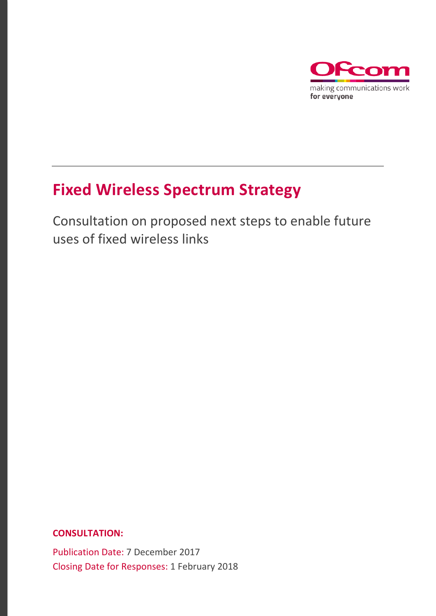

# **Fixed Wireless Spectrum Strategy**

Consultation on proposed next steps to enable future uses of fixed wireless links

## **CONSULTATION:**

Publication Date: 7 December 2017 Closing Date for Responses: 1 February 2018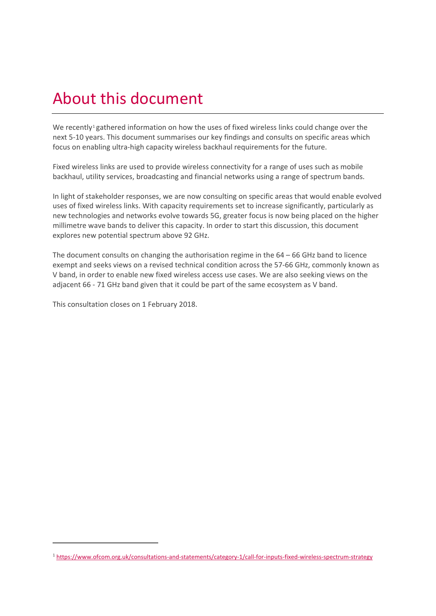# About this document

We recently<sup>[1](#page-1-0)</sup> gathered information on how the uses of fixed wireless links could change over the next 5-10 years. This document summarises our key findings and consults on specific areas which focus on enabling ultra-high capacity wireless backhaul requirements for the future.

Fixed wireless links are used to provide wireless connectivity for a range of uses such as mobile backhaul, utility services, broadcasting and financial networks using a range of spectrum bands.

In light of stakeholder responses, we are now consulting on specific areas that would enable evolved uses of fixed wireless links. With capacity requirements set to increase significantly, particularly as new technologies and networks evolve towards 5G, greater focus is now being placed on the higher millimetre wave bands to deliver this capacity. In order to start this discussion, this document explores new potential spectrum above 92 GHz.

The document consults on changing the authorisation regime in the  $64 - 66$  GHz band to licence exempt and seeks views on a revised technical condition across the 57-66 GHz, commonly known as V band, in order to enable new fixed wireless access use cases. We are also seeking views on the adjacent 66 - 71 GHz band given that it could be part of the same ecosystem as V band.

This consultation closes on 1 February 2018.

<span id="page-1-0"></span><sup>1</sup> https://www.ofcom.org.uk/consultations-and-statements/category-1/call-for-inputs-fixed-wireless-spectrum-strategy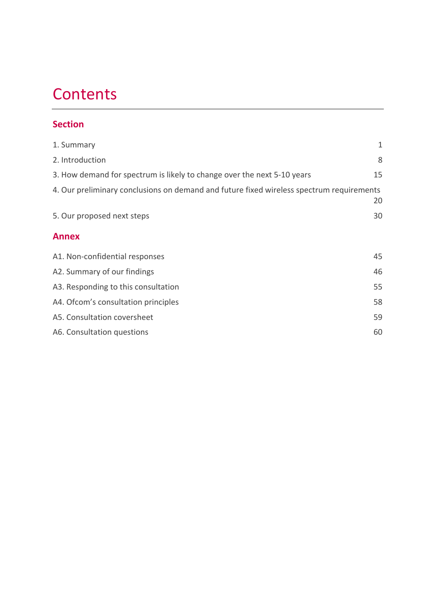# **Contents**

## **Section**

| 1. Summary                                                                               | $\mathbf{1}$ |
|------------------------------------------------------------------------------------------|--------------|
| 2. Introduction                                                                          | 8            |
| 3. How demand for spectrum is likely to change over the next 5-10 years                  | 15           |
| 4. Our preliminary conclusions on demand and future fixed wireless spectrum requirements | 20           |
| 5. Our proposed next steps                                                               | 30           |
| <b>Annex</b>                                                                             |              |
| A1. Non-confidential responses                                                           | 45           |
| A2. Summary of our findings                                                              | 46           |
| A3. Responding to this consultation                                                      | 55           |
| A4. Of com's consultation principles                                                     | 58           |
| A5. Consultation coversheet                                                              | 59           |
| A6. Consultation questions                                                               | 60           |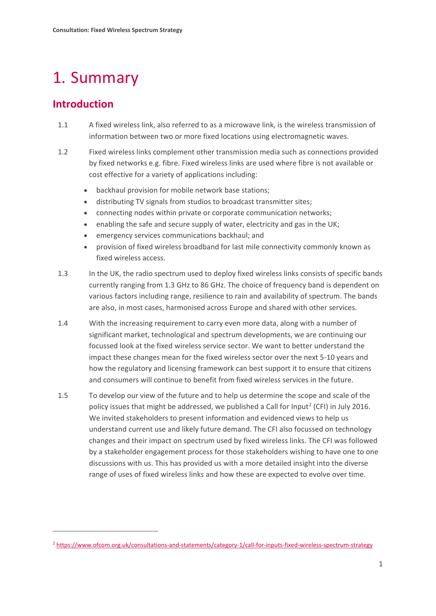# <span id="page-3-0"></span>1. Summary

# **Introduction**

**.** 

- 1.1 A fixed wireless link, also referred to as a microwave link, is the wireless transmission of information between two or more fixed locations using electromagnetic waves.
- 1.2 Fixed wireless links complement other transmission media such as connections provided by fixed networks e.g. fibre. Fixed wireless links are used where fibre is not available or cost effective for a variety of applications including:
	- backhaul provision for mobile network base stations;
	- distributing TV signals from studios to broadcast transmitter sites;
	- connecting nodes within private or corporate communication networks;
	- enabling the safe and secure supply of water, electricity and gas in the UK;
	- emergency services communications backhaul; and
	- provision of fixed wireless broadband for last mile connectivity commonly known as fixed wireless access.
- 1.3 In the UK, the radio spectrum used to deploy fixed wireless links consists of specific bands currently ranging from 1.3 GHz to 86 GHz. The choice of frequency band is dependent on various factors including range, resilience to rain and availability of spectrum. The bands are also, in most cases, harmonised across Europe and shared with other services.
- 1.4 With the increasing requirement to carry even more data, along with a number of significant market, technological and spectrum developments, we are continuing our focussed look at the fixed wireless service sector. We want to better understand the impact these changes mean for the fixed wireless sector over the next 5-10 years and how the regulatory and licensing framework can best support it to ensure that citizens and consumers will continue to benefit from fixed wireless services in the future.
- 1.5 To develop our view of the future and to help us determine the scope and scale of the policy issues that might be addressed, we published a Call for Input<sup>[2](#page-3-1)</sup> (CFI) in July 2016. We invited stakeholders to present information and evidenced views to help us understand current use and likely future demand. The CFI also focussed on technology changes and their impact on spectrum used by fixed wireless links. The CFI was followed by a stakeholder engagement process for those stakeholders wishing to have one to one discussions with us. This has provided us with a more detailed insight into the diverse range of uses of fixed wireless links and how these are expected to evolve over time.

<span id="page-3-1"></span><sup>2</sup> <https://www.ofcom.org.uk/consultations-and-statements/category-1/call-for-inputs-fixed-wireless-spectrum-strategy>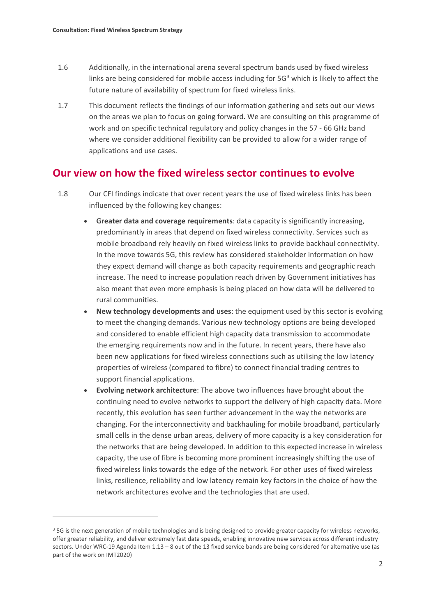**.** 

- 1.6 Additionally, in the international arena several spectrum bands used by fixed wireless links are being considered for mobile access including for  $5G<sup>3</sup>$  $5G<sup>3</sup>$  $5G<sup>3</sup>$  which is likely to affect the future nature of availability of spectrum for fixed wireless links.
- 1.7 This document reflects the findings of our information gathering and sets out our views on the areas we plan to focus on going forward. We are consulting on this programme of work and on specific technical regulatory and policy changes in the 57 - 66 GHz band where we consider additional flexibility can be provided to allow for a wider range of applications and use cases.

## **Our view on how the fixed wireless sector continues to evolve**

- 1.8 Our CFI findings indicate that over recent years the use of fixed wireless links has been influenced by the following key changes:
	- **Greater data and coverage requirements**: data capacity is significantly increasing, predominantly in areas that depend on fixed wireless connectivity. Services such as mobile broadband rely heavily on fixed wireless links to provide backhaul connectivity. In the move towards 5G, this review has considered stakeholder information on how they expect demand will change as both capacity requirements and geographic reach increase. The need to increase population reach driven by Government initiatives has also meant that even more emphasis is being placed on how data will be delivered to rural communities.
	- **New technology developments and uses**: the equipment used by this sector is evolving to meet the changing demands. Various new technology options are being developed and considered to enable efficient high capacity data transmission to accommodate the emerging requirements now and in the future. In recent years, there have also been new applications for fixed wireless connections such as utilising the low latency properties of wireless (compared to fibre) to connect financial trading centres to support financial applications.
	- **Evolving network architecture**: The above two influences have brought about the continuing need to evolve networks to support the delivery of high capacity data. More recently, this evolution has seen further advancement in the way the networks are changing. For the interconnectivity and backhauling for mobile broadband, particularly small cells in the dense urban areas, delivery of more capacity is a key consideration for the networks that are being developed. In addition to this expected increase in wireless capacity, the use of fibre is becoming more prominent increasingly shifting the use of fixed wireless links towards the edge of the network. For other uses of fixed wireless links, resilience, reliability and low latency remain key factors in the choice of how the network architectures evolve and the technologies that are used.

<span id="page-4-0"></span><sup>&</sup>lt;sup>3</sup> 5G is the next generation of mobile technologies and is being designed to provide greater capacity for wireless networks, offer greater reliability, and deliver extremely fast data speeds, enabling innovative new services across different industry sectors. Under WRC-19 Agenda Item 1.13 – 8 out of the 13 fixed service bands are being considered for alternative use (as part of the work on IMT2020)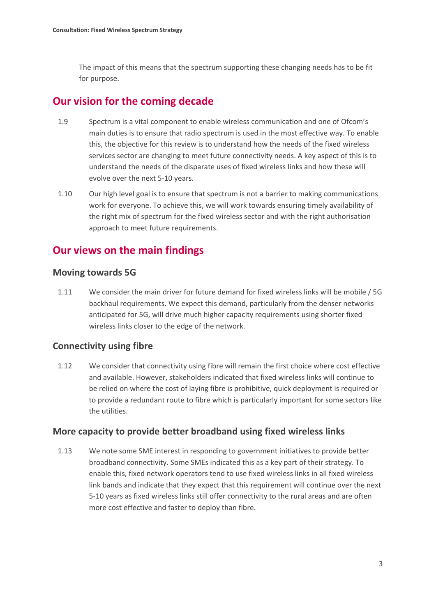The impact of this means that the spectrum supporting these changing needs has to be fit for purpose.

# **Our vision for the coming decade**

- 1.9 Spectrum is a vital component to enable wireless communication and one of Ofcom's main duties is to ensure that radio spectrum is used in the most effective way. To enable this, the objective for this review is to understand how the needs of the fixed wireless services sector are changing to meet future connectivity needs. A key aspect of this is to understand the needs of the disparate uses of fixed wireless links and how these will evolve over the next 5-10 years.
- 1.10 Our high level goal is to ensure that spectrum is not a barrier to making communications work for everyone. To achieve this, we will work towards ensuring timely availability of the right mix of spectrum for the fixed wireless sector and with the right authorisation approach to meet future requirements.

# **Our views on the main findings**

## **Moving towards 5G**

1.11 We consider the main driver for future demand for fixed wireless links will be mobile / 5G backhaul requirements. We expect this demand, particularly from the denser networks anticipated for 5G, will drive much higher capacity requirements using shorter fixed wireless links closer to the edge of the network.

## **Connectivity using fibre**

1.12 We consider that connectivity using fibre will remain the first choice where cost effective and available. However, stakeholders indicated that fixed wireless links will continue to be relied on where the cost of laying fibre is prohibitive, quick deployment is required or to provide a redundant route to fibre which is particularly important for some sectors like the utilities.

## **More capacity to provide better broadband using fixed wireless links**

1.13 We note some SME interest in responding to government initiatives to provide better broadband connectivity. Some SMEs indicated this as a key part of their strategy. To enable this, fixed network operators tend to use fixed wireless links in all fixed wireless link bands and indicate that they expect that this requirement will continue over the next 5-10 years as fixed wireless links still offer connectivity to the rural areas and are often more cost effective and faster to deploy than fibre.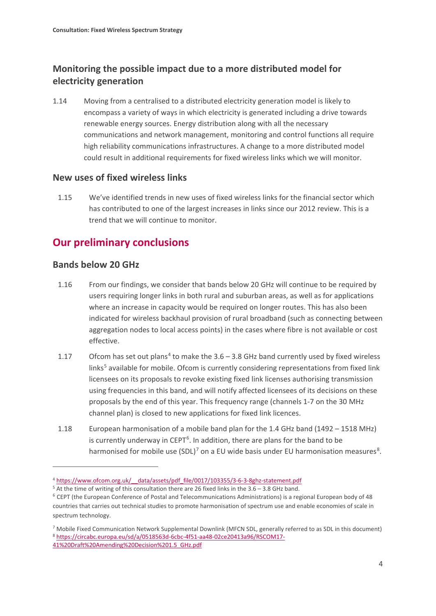# **Monitoring the possible impact due to a more distributed model for electricity generation**

1.14 Moving from a centralised to a distributed electricity generation model is likely to encompass a variety of ways in which electricity is generated including a drive towards renewable energy sources. Energy distribution along with all the necessary communications and network management, monitoring and control functions all require high reliability communications infrastructures. A change to a more distributed model could result in additional requirements for fixed wireless links which we will monitor.

## **New uses of fixed wireless links**

1.15 We've identified trends in new uses of fixed wireless links for the financial sector which has contributed to one of the largest increases in links since our 2012 review. This is a trend that we will continue to monitor.

# **Our preliminary conclusions**

## **Bands below 20 GHz**

- 1.16 From our findings, we consider that bands below 20 GHz will continue to be required by users requiring longer links in both rural and suburban areas, as well as for applications where an increase in capacity would be required on longer routes. This has also been indicated for wireless backhaul provision of rural broadband (such as connecting between aggregation nodes to local access points) in the cases where fibre is not available or cost effective.
- 1.17 Ofcom has set out plans<sup>[4](#page-6-0)</sup> to make the  $3.6 3.8$  GHz band currently used by fixed wireless links $<sup>5</sup>$  $<sup>5</sup>$  $<sup>5</sup>$  available for mobile. Ofcom is currently considering representations from fixed link</sup> licensees on its proposals to revoke existing fixed link licenses authorising transmission using frequencies in this band, and will notify affected licensees of its decisions on these proposals by the end of this year. This frequency range (channels 1-7 on the 30 MHz channel plan) is closed to new applications for fixed link licences.
- 1.18 European harmonisation of a mobile band plan for the 1.4 GHz band (1492 1518 MHz) is currently underway in CEPT<sup>[6](#page-6-2)</sup>. In addition, there are plans for the band to be harmonised for mobile use (SDL)<sup>[7](#page-6-3)</sup> on a EU wide basis under EU harmonisation measures<sup>[8](#page-6-4)</sup>.

<span id="page-6-0"></span><sup>4</sup> [https://www.ofcom.org.uk/\\_\\_data/assets/pdf\\_file/0017/103355/3-6-3-8ghz-statement.pdf](https://www.ofcom.org.uk/__data/assets/pdf_file/0017/103355/3-6-3-8ghz-statement.pdf)

<span id="page-6-1"></span><sup>5</sup> At the time of writing of this consultation there are 26 fixed links in the 3.6 – 3.8 GHz band.

<span id="page-6-2"></span> $6$  CEPT (the European Conference of Postal and Telecommunications Administrations) is a regional European body of 48 countries that carries out technical studies to promote harmonisation of spectrum use and enable economies of scale in spectrum technology.

<span id="page-6-4"></span><span id="page-6-3"></span><sup>7</sup> Mobile Fixed Communication Network Supplemental Downlink (MFCN SDL, generally referred to as SDL in this document) <sup>8</sup> https://circabc.europa.eu/sd/a/0518563d-6cbc-4f51-aa48-02ce20413a96/RSCOM17- 41%20Draft%20Amending%20Decision%201.5\_GHz.pdf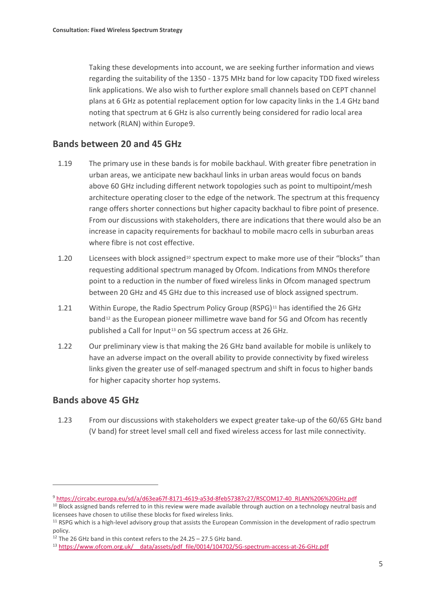Taking these developments into account, we are seeking further information and views regarding the suitability of the 1350 - 1375 MHz band for low capacity TDD fixed wireless link applications. We also wish to further explore small channels based on CEPT channel plans at 6 GHz as potential replacement option for low capacity links in the 1.4 GHz band noting that spectrum at 6 GHz is also currently being considered for radio local area network (RLAN) within Europe[9.](#page-7-0)

## **Bands between 20 and 45 GHz**

- 1.19 The primary use in these bands is for mobile backhaul. With greater fibre penetration in urban areas, we anticipate new backhaul links in urban areas would focus on bands above 60 GHz including different network topologies such as point to multipoint/mesh architecture operating closer to the edge of the network. The spectrum at this frequency range offers shorter connections but higher capacity backhaul to fibre point of presence. From our discussions with stakeholders, there are indications that there would also be an increase in capacity requirements for backhaul to mobile macro cells in suburban areas where fibre is not cost effective.
- 1.20 Licensees with block assigned<sup>[10](#page-7-1)</sup> spectrum expect to make more use of their "blocks" than requesting additional spectrum managed by Ofcom. Indications from MNOs therefore point to a reduction in the number of fixed wireless links in Ofcom managed spectrum between 20 GHz and 45 GHz due to this increased use of block assigned spectrum.
- 1.21 Within Europe, the Radio Spectrum Policy Group (RSPG)<sup>[11](#page-7-2)</sup> has identified the 26 GHz band<sup>[12](#page-7-3)</sup> as the European pioneer millimetre wave band for 5G and Ofcom has recently published a Call for Input<sup>[13](#page-7-4)</sup> on 5G spectrum access at 26 GHz.
- 1.22 Our preliminary view is that making the 26 GHz band available for mobile is unlikely to have an adverse impact on the overall ability to provide connectivity by fixed wireless links given the greater use of self-managed spectrum and shift in focus to higher bands for higher capacity shorter hop systems.

## **Bands above 45 GHz**

**.** 

1.23 From our discussions with stakeholders we expect greater take-up of the 60/65 GHz band (V band) for street level small cell and fixed wireless access for last mile connectivity.

<span id="page-7-0"></span><sup>9</sup> https://circabc.europa.eu/sd/a/d63ea67f-8171-4619-a53d-8feb57387c27/RSCOM17-40\_RLAN%206%20GHz.pdf

<span id="page-7-1"></span><sup>&</sup>lt;sup>10</sup> Block assigned bands referred to in this review were made available through auction on a technology neutral basis and licensees have chosen to utilise these blocks for fixed wireless links.

<span id="page-7-2"></span><sup>&</sup>lt;sup>11</sup> RSPG which is a high-level advisory group that assists the European Commission in the development of radio spectrum policy.

<span id="page-7-3"></span> $12$  The 26 GHz band in this context refers to the 24.25 – 27.5 GHz band.

<span id="page-7-4"></span><sup>&</sup>lt;sup>13</sup> https://www.ofcom.org.uk/ data/assets/pdf file/0014/104702/5G-spectrum-access-at-26-GHz.pdf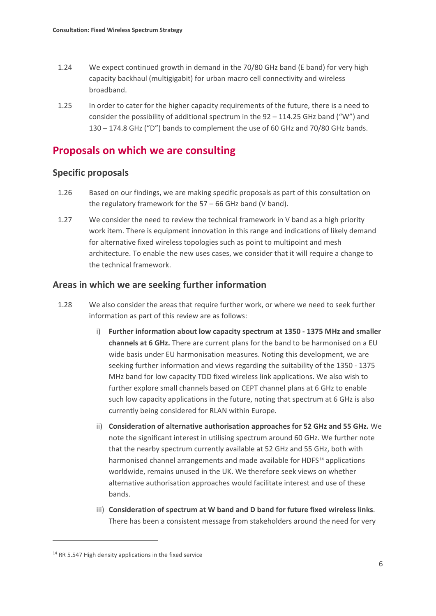- 1.24 We expect continued growth in demand in the 70/80 GHz band (E band) for very high capacity backhaul (multigigabit) for urban macro cell connectivity and wireless broadband.
- 1.25 In order to cater for the higher capacity requirements of the future, there is a need to consider the possibility of additional spectrum in the 92 – 114.25 GHz band ("W") and 130 – 174.8 GHz ("D") bands to complement the use of 60 GHz and 70/80 GHz bands.

## **Proposals on which we are consulting**

## **Specific proposals**

- 1.26 Based on our findings, we are making specific proposals as part of this consultation on the regulatory framework for the 57 – 66 GHz band (V band).
- 1.27 We consider the need to review the technical framework in V band as a high priority work item. There is equipment innovation in this range and indications of likely demand for alternative fixed wireless topologies such as point to multipoint and mesh architecture. To enable the new uses cases, we consider that it will require a change to the technical framework.

## **Areas in which we are seeking further information**

- 1.28 We also consider the areas that require further work, or where we need to seek further information as part of this review are as follows:
	- i) **Further information about low capacity spectrum at 1350 - 1375 MHz and smaller channels at 6 GHz.** There are current plans for the band to be harmonised on a EU wide basis under EU harmonisation measures. Noting this development, we are seeking further information and views regarding the suitability of the 1350 - 1375 MHz band for low capacity TDD fixed wireless link applications. We also wish to further explore small channels based on CEPT channel plans at 6 GHz to enable such low capacity applications in the future, noting that spectrum at 6 GHz is also currently being considered for RLAN within Europe.
	- ii) **Consideration of alternative authorisation approaches for 52 GHz and 55 GHz.** We note the significant interest in utilising spectrum around 60 GHz. We further note that the nearby spectrum currently available at 52 GHz and 55 GHz, both with harmonised channel arrangements and made available for HDFS<sup>[14](#page-8-0)</sup> applications worldwide, remains unused in the UK. We therefore seek views on whether alternative authorisation approaches would facilitate interest and use of these bands.
	- iii) **Consideration of spectrum at W band and D band for future fixed wireless links**. There has been a consistent message from stakeholders around the need for very

**.** 

<span id="page-8-0"></span><sup>&</sup>lt;sup>14</sup> RR 5.547 High density applications in the fixed service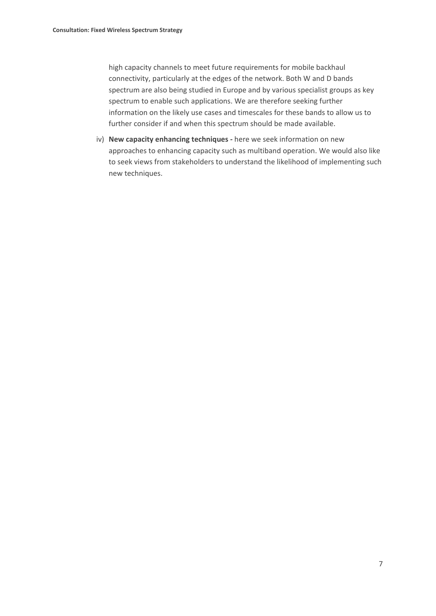high capacity channels to meet future requirements for mobile backhaul connectivity, particularly at the edges of the network. Both W and D bands spectrum are also being studied in Europe and by various specialist groups as key spectrum to enable such applications. We are therefore seeking further information on the likely use cases and timescales for these bands to allow us to further consider if and when this spectrum should be made available.

iv) **New capacity enhancing techniques** *-* here we seek information on new approaches to enhancing capacity such as multiband operation. We would also like to seek views from stakeholders to understand the likelihood of implementing such new techniques.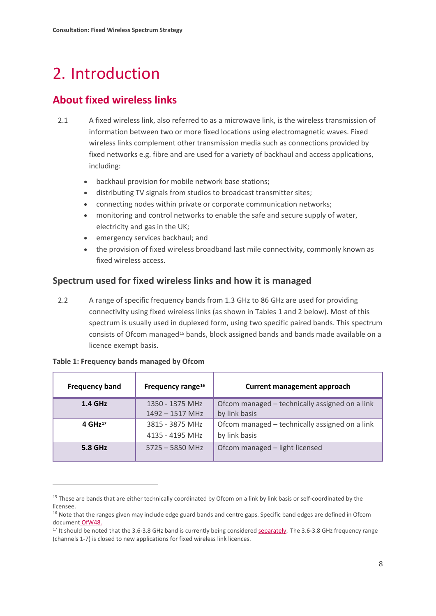# <span id="page-10-0"></span>2. Introduction

# **About fixed wireless links**

- 2.1 A fixed wireless link, also referred to as a microwave link, is the wireless transmission of information between two or more fixed locations using electromagnetic waves. Fixed wireless links complement other transmission media such as connections provided by fixed networks e.g. fibre and are used for a variety of backhaul and access applications, including:
	- backhaul provision for mobile network base stations;
	- distributing TV signals from studios to broadcast transmitter sites;
	- connecting nodes within private or corporate communication networks;
	- monitoring and control networks to enable the safe and secure supply of water, electricity and gas in the UK;
	- emergency services backhaul; and
	- the provision of fixed wireless broadband last mile connectivity, commonly known as fixed wireless access.

## **Spectrum used for fixed wireless links and how it is managed**

2.2 A range of specific frequency bands from 1.3 GHz to 86 GHz are used for providing connectivity using fixed wireless links (as shown in Tables 1 and 2 below). Most of this spectrum is usually used in duplexed form, using two specific paired bands. This spectrum consists of Ofcom managed[15](#page-10-1) bands, block assigned bands and bands made available on a licence exempt basis.

| <b>Frequency band</b> | Frequency range <sup>16</sup> | <b>Current management approach</b>             |
|-----------------------|-------------------------------|------------------------------------------------|
| $1.4$ GHz             | 1350 - 1375 MHz               | Ofcom managed – technically assigned on a link |
|                       | $1492 - 1517$ MHz             | by link basis                                  |
| 4 GHz $17$            | 3815 - 3875 MHz               | Ofcom managed – technically assigned on a link |
|                       | 4135 - 4195 MHz               | by link basis                                  |
| 5.8 GHz               | $5725 - 5850$ MHz             | Ofcom managed - light licensed                 |

| Table 1: Frequency bands managed by Ofcom |  |  |
|-------------------------------------------|--|--|

**.** 

<span id="page-10-1"></span><sup>&</sup>lt;sup>15</sup> These are bands that are either technically coordinated by Ofcom on a link by link basis or self-coordinated by the licensee.

<span id="page-10-2"></span><sup>&</sup>lt;sup>16</sup> Note that the ranges given may include edge guard bands and centre gaps. Specific band edges are defined in Ofcom document [OfW48.](https://www.ofcom.org.uk/__data/assets/pdf_file/0016/92203/ofw48.pdf)

<span id="page-10-3"></span><sup>&</sup>lt;sup>17</sup> It should be noted that the 3.6-3.8 GHz band is currently being considered **separately**. The 3.6-3.8 GHz frequency range (channels 1-7) is closed to new applications for fixed wireless link licences.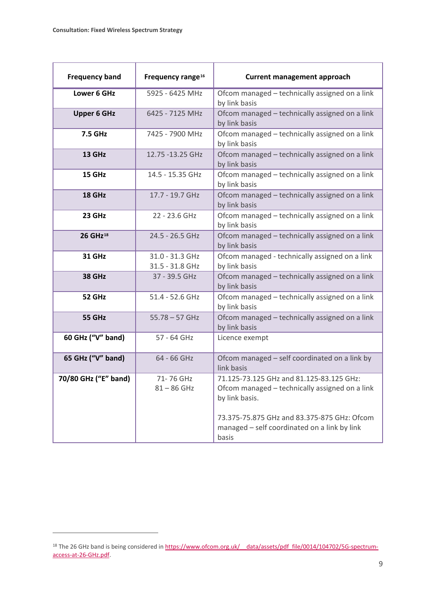| <b>Frequency band</b> | Frequency range <sup>16</sup>      | <b>Current management approach</b>                                                                                                                          |
|-----------------------|------------------------------------|-------------------------------------------------------------------------------------------------------------------------------------------------------------|
| Lower 6 GHz           | 5925 - 6425 MHz                    | Ofcom managed - technically assigned on a link<br>by link basis                                                                                             |
| <b>Upper 6 GHz</b>    | 6425 - 7125 MHz                    | Ofcom managed - technically assigned on a link<br>by link basis                                                                                             |
| 7.5 GHz               | 7425 - 7900 MHz                    | Ofcom managed - technically assigned on a link<br>by link basis                                                                                             |
| <b>13 GHz</b>         | 12.75 -13.25 GHz                   | Ofcom managed - technically assigned on a link<br>by link basis                                                                                             |
| 15 GHz                | 14.5 - 15.35 GHz                   | Ofcom managed - technically assigned on a link<br>by link basis                                                                                             |
| 18 GHz                | 17.7 - 19.7 GHz                    | Ofcom managed - technically assigned on a link<br>by link basis                                                                                             |
| 23 GHz                | 22 - 23.6 GHz                      | Ofcom managed - technically assigned on a link<br>by link basis                                                                                             |
| 26 GHz <sup>18</sup>  | 24.5 - 26.5 GHz                    | Ofcom managed - technically assigned on a link<br>by link basis                                                                                             |
| <b>31 GHz</b>         | 31.0 - 31.3 GHz<br>31.5 - 31.8 GHz | Ofcom managed - technically assigned on a link<br>by link basis                                                                                             |
| 38 GHz                | 37 - 39.5 GHz                      | Ofcom managed - technically assigned on a link<br>by link basis                                                                                             |
| 52 GHz                | 51.4 - 52.6 GHz                    | Ofcom managed - technically assigned on a link<br>by link basis                                                                                             |
| 55 GHz                | $55.78 - 57$ GHz                   | Ofcom managed - technically assigned on a link<br>by link basis                                                                                             |
| 60 GHz ("V" band)     | 57 - 64 GHz                        | Licence exempt                                                                                                                                              |
| 65 GHz ("V" band)     | 64 - 66 GHz                        | Ofcom managed - self coordinated on a link by<br>link basis                                                                                                 |
| 70/80 GHz ("E" band)  | 71-76 GHz<br>$81 - 86$ GHz         | 71.125-73.125 GHz and 81.125-83.125 GHz:<br>Ofcom managed - technically assigned on a link<br>by link basis.<br>73.375-75.875 GHz and 83.375-875 GHz: Ofcom |
|                       |                                    | managed - self coordinated on a link by link<br>basis                                                                                                       |

<span id="page-11-0"></span><sup>&</sup>lt;sup>18</sup> The 26 GHz band is being considered in https://www.ofcom.org.uk/ data/assets/pdf file/0014/104702/5G-spectrum[access-at-26-GHz.pdf.](https://www.ofcom.org.uk/__data/assets/pdf_file/0014/104702/5G-spectrum-access-at-26-GHz.pdf)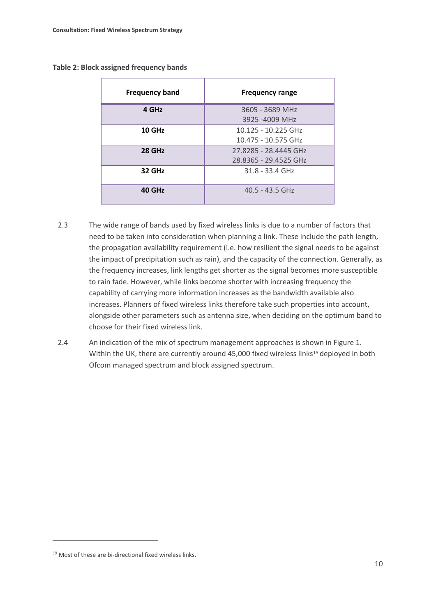#### **Table 2: Block assigned frequency bands**

| <b>Frequency band</b> | <b>Frequency range</b>                         |
|-----------------------|------------------------------------------------|
| 4 GHz                 | 3605 - 3689 MHz<br>3925 -4009 MHz              |
| 10 GHz                | 10.125 - 10.225 GHz<br>10.475 - 10.575 GHz     |
| 28 GHz                | 27.8285 - 28.4445 GHz<br>28.8365 - 29.4525 GHz |
| <b>32 GHz</b>         | $31.8 - 33.4$ GHz                              |
| 40 GHz                | $40.5 - 43.5$ GHz                              |

- 2.3 The wide range of bands used by fixed wireless links is due to a number of factors that need to be taken into consideration when planning a link. These include the path length, the propagation availability requirement (i.e. how resilient the signal needs to be against the impact of precipitation such as rain), and the capacity of the connection. Generally, as the frequency increases, link lengths get shorter as the signal becomes more susceptible to rain fade. However, while links become shorter with increasing frequency the capability of carrying more information increases as the bandwidth available also increases. Planners of fixed wireless links therefore take such properties into account, alongside other parameters such as antenna size, when deciding on the optimum band to choose for their fixed wireless link.
- 2.4 An indication of the mix of spectrum management approaches is shown in Figure 1. Within the UK, there are currently around 45,000 fixed wireless links<sup>[19](#page-12-0)</sup> deployed in both Ofcom managed spectrum and block assigned spectrum.

**.** 

<span id="page-12-0"></span><sup>19</sup> Most of these are bi-directional fixed wireless links.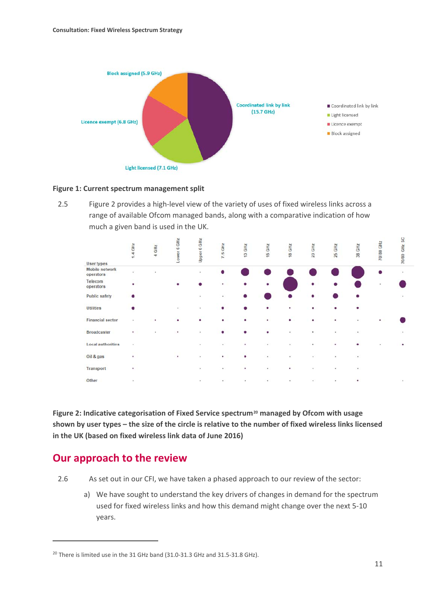

#### **Figure 1: Current spectrum management split**

2.5 Figure 2 provides a high-level view of the variety of uses of fixed wireless links across a range of available Ofcom managed bands, along with a comparative indication of how much a given band is used in the UK.

| <b>User types</b>           | $1.4$ GHz | 4 GHz | Lower 6 GHz | Upper 6 GHz | 7.5 GHz   | 13 GHz    | 15 GHz   | <b>18 GHz</b> | 23 GHz | 25 GHz | 38 GHz       | <b>70/80 GHz</b> | 70/80 GHz SC |
|-----------------------------|-----------|-------|-------------|-------------|-----------|-----------|----------|---------------|--------|--------|--------------|------------------|--------------|
| Mobile network<br>operators | ×         |       |             | ٠           |           |           |          |               |        |        |              |                  |              |
| Telecom<br>operators        | ٠         |       |             |             | ٠         | $\bullet$ | ٠        |               |        |        |              |                  |              |
| <b>Public safety</b>        |           |       |             |             | ٠         |           |          |               |        |        |              |                  |              |
| <b>Utilities</b>            |           |       |             |             | ٠         |           |          |               | ٠      | ٠      |              |                  |              |
| <b>Financial sector</b>     |           |       |             |             | ٠         | ٠         | ٠        | ۰             | ٠      |        |              |                  |              |
| <b>Broadcaster</b>          | ٠         |       |             |             |           |           |          |               | ٠      | ٠      | ٠            |                  |              |
| Local authorities           | $\bullet$ |       |             | ٠           | ٠         | ٠         | $\alpha$ |               | ٠      | ٠      |              |                  |              |
| Oil & gas                   | ٠         |       | ٠           | ٠           | ٠         | ٠         | ٠        |               |        | ٠      | $\epsilon$   |                  |              |
| Transport                   | ٠         |       |             | ٠           | ٠         | ٠         | ٠        | ٠             |        | ٠      | $\mathbf{r}$ |                  |              |
| Other                       | ٠         |       |             | $\bullet$   | $\bullet$ | ٠         | ٠        |               |        | ٠      | ٠            |                  |              |

**Figure 2: Indicative categorisation of Fixed Service spectrum[20](#page-13-0) managed by Ofcom with usage shown by user types – the size of the circle is relative to the number of fixed wireless links licensed in the UK (based on fixed wireless link data of June 2016)**

## **Our approach to the review**

**.** 

2.6 As set out in our CFI, we have taken a phased approach to our review of the sector:

a) We have sought to understand the key drivers of changes in demand for the spectrum used for fixed wireless links and how this demand might change over the next 5-10 years.

<span id="page-13-0"></span><sup>&</sup>lt;sup>20</sup> There is limited use in the 31 GHz band (31.0-31.3 GHz and 31.5-31.8 GHz).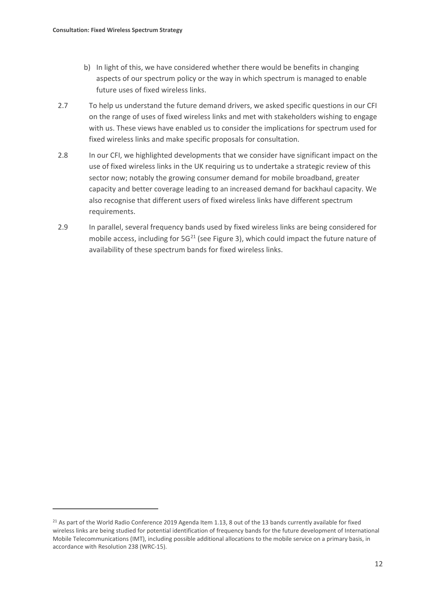- b) In light of this, we have considered whether there would be benefits in changing aspects of our spectrum policy or the way in which spectrum is managed to enable future uses of fixed wireless links.
- 2.7 To help us understand the future demand drivers, we asked specific questions in our CFI on the range of uses of fixed wireless links and met with stakeholders wishing to engage with us. These views have enabled us to consider the implications for spectrum used for fixed wireless links and make specific proposals for consultation.
- 2.8 In our CFI, we highlighted developments that we consider have significant impact on the use of fixed wireless links in the UK requiring us to undertake a strategic review of this sector now; notably the growing consumer demand for mobile broadband, greater capacity and better coverage leading to an increased demand for backhaul capacity. We also recognise that different users of fixed wireless links have different spectrum requirements.
- 2.9 In parallel, several frequency bands used by fixed wireless links are being considered for mobile access, including for  $5G^{21}$  $5G^{21}$  $5G^{21}$  (see Figure 3), which could impact the future nature of availability of these spectrum bands for fixed wireless links.

<span id="page-14-0"></span><sup>&</sup>lt;sup>21</sup> As part of the World Radio Conference 2019 Agenda Item 1.13, 8 out of the 13 bands currently available for fixed wireless links are being studied for potential identification of frequency bands for the future development of International Mobile Telecommunications (IMT), including possible additional allocations to the mobile service on a primary basis, in accordance with Resolution 238 (WRC-15).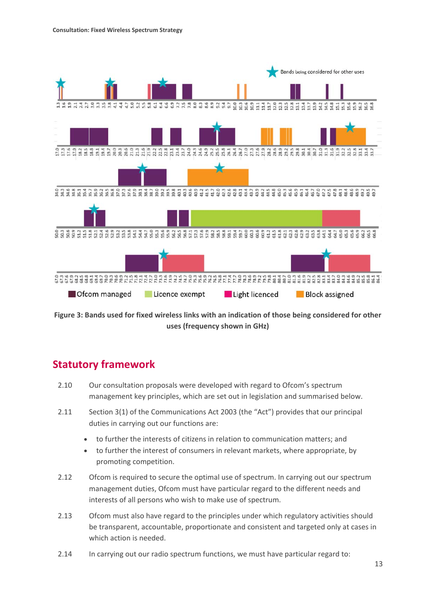

**Figure 3: Bands used for fixed wireless links with an indication of those being considered for other uses (frequency shown in GHz)**

# **Statutory framework**

- 2.10 Our consultation proposals were developed with regard to Ofcom's spectrum management key principles, which are set out in legislation and summarised below.
- 2.11 Section 3(1) of the Communications Act 2003 (the "Act") provides that our principal duties in carrying out our functions are:
	- to further the interests of citizens in relation to communication matters; and
	- to further the interest of consumers in relevant markets, where appropriate, by promoting competition.
- 2.12 Ofcom is required to secure the optimal use of spectrum. In carrying out our spectrum management duties, Ofcom must have particular regard to the different needs and interests of all persons who wish to make use of spectrum.
- 2.13 Ofcom must also have regard to the principles under which regulatory activities should be transparent, accountable, proportionate and consistent and targeted only at cases in which action is needed.
- 2.14 In carrying out our radio spectrum functions, we must have particular regard to: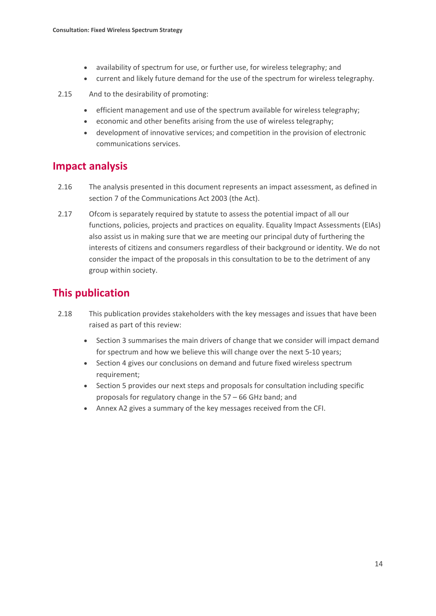- availability of spectrum for use, or further use, for wireless telegraphy; and
- current and likely future demand for the use of the spectrum for wireless telegraphy.
- 2.15 And to the desirability of promoting:
	- efficient management and use of the spectrum available for wireless telegraphy;
	- economic and other benefits arising from the use of wireless telegraphy;
	- development of innovative services; and competition in the provision of electronic communications services.

# **Impact analysis**

- 2.16 The analysis presented in this document represents an impact assessment, as defined in section 7 of the Communications Act 2003 (the Act).
- 2.17 Ofcom is separately required by statute to assess the potential impact of all our functions, policies, projects and practices on equality. Equality Impact Assessments (EIAs) also assist us in making sure that we are meeting our principal duty of furthering the interests of citizens and consumers regardless of their background or identity. We do not consider the impact of the proposals in this consultation to be to the detriment of any group within society.

# **This publication**

- 2.18 This publication provides stakeholders with the key messages and issues that have been raised as part of this review:
	- Section 3 summarises the main drivers of change that we consider will impact demand for spectrum and how we believe this will change over the next 5-10 years;
	- Section 4 gives our conclusions on demand and future fixed wireless spectrum requirement;
	- Section 5 provides our next steps and proposals for consultation including specific proposals for regulatory change in the 57 – 66 GHz band; and
	- Annex A2 gives a summary of the key messages received from the CFI.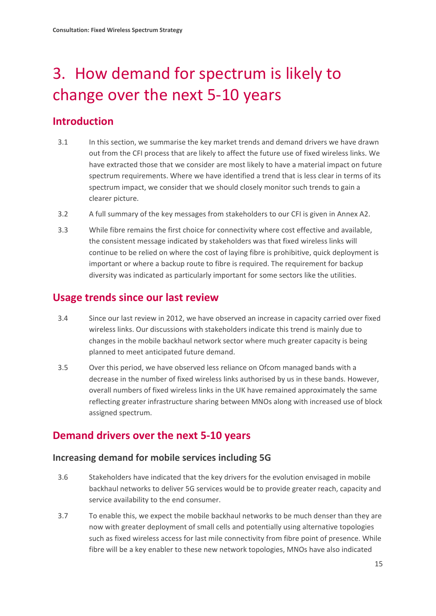# <span id="page-17-0"></span>3. How demand for spectrum is likely to change over the next 5-10 years

# **Introduction**

- 3.1 In this section, we summarise the key market trends and demand drivers we have drawn out from the CFI process that are likely to affect the future use of fixed wireless links. We have extracted those that we consider are most likely to have a material impact on future spectrum requirements. Where we have identified a trend that is less clear in terms of its spectrum impact, we consider that we should closely monitor such trends to gain a clearer picture.
- 3.2 A full summary of the key messages from stakeholders to our CFI is given in Annex A2.
- 3.3 While fibre remains the first choice for connectivity where cost effective and available, the consistent message indicated by stakeholders was that fixed wireless links will continue to be relied on where the cost of laying fibre is prohibitive, quick deployment is important or where a backup route to fibre is required. The requirement for backup diversity was indicated as particularly important for some sectors like the utilities.

## **Usage trends since our last review**

- 3.4 Since our last review in 2012, we have observed an increase in capacity carried over fixed wireless links. Our discussions with stakeholders indicate this trend is mainly due to changes in the mobile backhaul network sector where much greater capacity is being planned to meet anticipated future demand.
- 3.5 Over this period, we have observed less reliance on Ofcom managed bands with a decrease in the number of fixed wireless links authorised by us in these bands. However, overall numbers of fixed wireless links in the UK have remained approximately the same reflecting greater infrastructure sharing between MNOs along with increased use of block assigned spectrum.

# **Demand drivers over the next 5-10 years**

## **Increasing demand for mobile services including 5G**

- 3.6 Stakeholders have indicated that the key drivers for the evolution envisaged in mobile backhaul networks to deliver 5G services would be to provide greater reach, capacity and service availability to the end consumer.
- 3.7 To enable this, we expect the mobile backhaul networks to be much denser than they are now with greater deployment of small cells and potentially using alternative topologies such as fixed wireless access for last mile connectivity from fibre point of presence. While fibre will be a key enabler to these new network topologies, MNOs have also indicated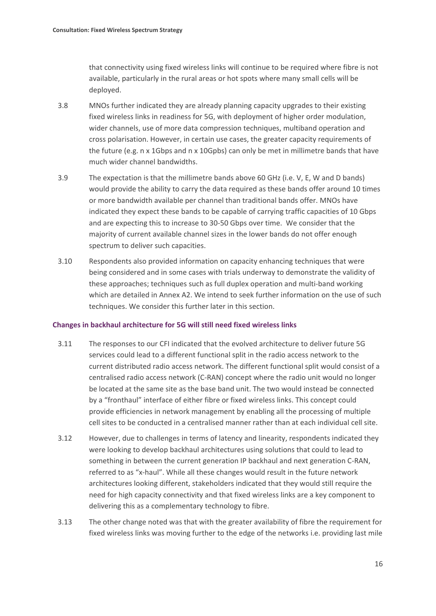that connectivity using fixed wireless links will continue to be required where fibre is not available, particularly in the rural areas or hot spots where many small cells will be deployed.

- 3.8 MNOs further indicated they are already planning capacity upgrades to their existing fixed wireless links in readiness for 5G, with deployment of higher order modulation, wider channels, use of more data compression techniques, multiband operation and cross polarisation. However, in certain use cases, the greater capacity requirements of the future (e.g. n x 1Gbps and n x 10Gpbs) can only be met in millimetre bands that have much wider channel bandwidths.
- 3.9 The expectation is that the millimetre bands above 60 GHz (i.e. V, E, W and D bands) would provide the ability to carry the data required as these bands offer around 10 times or more bandwidth available per channel than traditional bands offer. MNOs have indicated they expect these bands to be capable of carrying traffic capacities of 10 Gbps and are expecting this to increase to 30-50 Gbps over time. We consider that the majority of current available channel sizes in the lower bands do not offer enough spectrum to deliver such capacities.
- 3.10 Respondents also provided information on capacity enhancing techniques that were being considered and in some cases with trials underway to demonstrate the validity of these approaches; techniques such as full duplex operation and multi-band working which are detailed in Annex A2. We intend to seek further information on the use of such techniques. We consider this further later in this section.

#### **Changes in backhaul architecture for 5G will still need fixed wireless links**

- 3.11 The responses to our CFI indicated that the evolved architecture to deliver future 5G services could lead to a different functional split in the radio access network to the current distributed radio access network. The different functional split would consist of a centralised radio access network (C-RAN) concept where the radio unit would no longer be located at the same site as the base band unit. The two would instead be connected by a "fronthaul" interface of either fibre or fixed wireless links. This concept could provide efficiencies in network management by enabling all the processing of multiple cell sites to be conducted in a centralised manner rather than at each individual cell site.
- 3.12 However, due to challenges in terms of latency and linearity, respondents indicated they were looking to develop backhaul architectures using solutions that could to lead to something in between the current generation IP backhaul and next generation C-RAN, referred to as "x-haul". While all these changes would result in the future network architectures looking different, stakeholders indicated that they would still require the need for high capacity connectivity and that fixed wireless links are a key component to delivering this as a complementary technology to fibre.
- 3.13 The other change noted was that with the greater availability of fibre the requirement for fixed wireless links was moving further to the edge of the networks i.e. providing last mile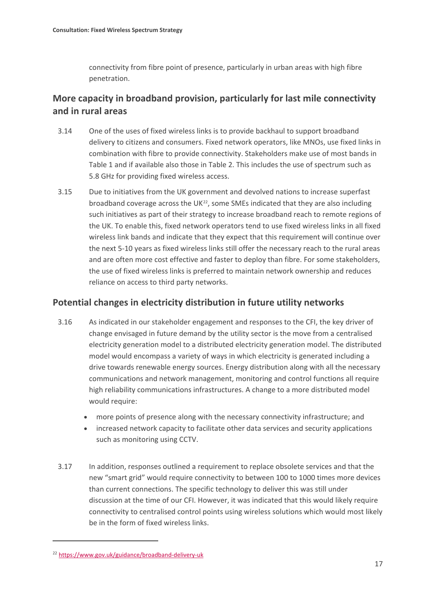connectivity from fibre point of presence, particularly in urban areas with high fibre penetration.

## **More capacity in broadband provision, particularly for last mile connectivity and in rural areas**

- 3.14 One of the uses of fixed wireless links is to provide backhaul to support broadband delivery to citizens and consumers. Fixed network operators, like MNOs, use fixed links in combination with fibre to provide connectivity. Stakeholders make use of most bands in Table 1 and if available also those in Table 2. This includes the use of spectrum such as 5.8 GHz for providing fixed wireless access.
- 3.15 Due to initiatives from the UK government and devolved nations to increase superfast broadband coverage across the UK $^{22}$ , some SMEs indicated that they are also including such initiatives as part of their strategy to increase broadband reach to remote regions of the UK. To enable this, fixed network operators tend to use fixed wireless links in all fixed wireless link bands and indicate that they expect that this requirement will continue over the next 5-10 years as fixed wireless links still offer the necessary reach to the rural areas and are often more cost effective and faster to deploy than fibre. For some stakeholders, the use of fixed wireless links is preferred to maintain network ownership and reduces reliance on access to third party networks.

## **Potential changes in electricity distribution in future utility networks**

- 3.16 As indicated in our stakeholder engagement and responses to the CFI, the key driver of change envisaged in future demand by the utility sector is the move from a centralised electricity generation model to a distributed electricity generation model. The distributed model would encompass a variety of ways in which electricity is generated including a drive towards renewable energy sources. Energy distribution along with all the necessary communications and network management, monitoring and control functions all require high reliability communications infrastructures. A change to a more distributed model would require:
	- more points of presence along with the necessary connectivity infrastructure; and
	- increased network capacity to facilitate other data services and security applications such as monitoring using CCTV.
- 3.17 In addition, responses outlined a requirement to replace obsolete services and that the new "smart grid" would require connectivity to between 100 to 1000 times more devices than current connections. The specific technology to deliver this was still under discussion at the time of our CFI. However, it was indicated that this would likely require connectivity to centralised control points using wireless solutions which would most likely be in the form of fixed wireless links.

**.** 

<span id="page-19-0"></span><sup>22</sup> <https://www.gov.uk/guidance/broadband-delivery-uk>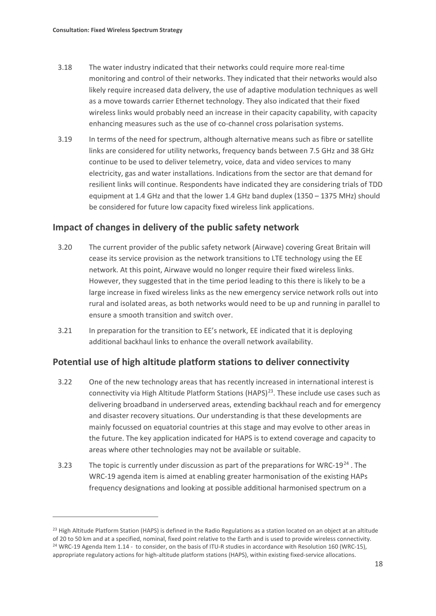**.** 

- 3.18 The water industry indicated that their networks could require more real-time monitoring and control of their networks. They indicated that their networks would also likely require increased data delivery, the use of adaptive modulation techniques as well as a move towards carrier Ethernet technology. They also indicated that their fixed wireless links would probably need an increase in their capacity capability, with capacity enhancing measures such as the use of co-channel cross polarisation systems.
- 3.19 In terms of the need for spectrum, although alternative means such as fibre or satellite links are considered for utility networks, frequency bands between 7.5 GHz and 38 GHz continue to be used to deliver telemetry, voice, data and video services to many electricity, gas and water installations. Indications from the sector are that demand for resilient links will continue. Respondents have indicated they are considering trials of TDD equipment at 1.4 GHz and that the lower 1.4 GHz band duplex (1350 – 1375 MHz) should be considered for future low capacity fixed wireless link applications.

## **Impact of changes in delivery of the public safety network**

- 3.20 The current provider of the public safety network (Airwave) covering Great Britain will cease its service provision as the network transitions to LTE technology using the EE network. At this point, Airwave would no longer require their fixed wireless links. However, they suggested that in the time period leading to this there is likely to be a large increase in fixed wireless links as the new emergency service network rolls out into rural and isolated areas, as both networks would need to be up and running in parallel to ensure a smooth transition and switch over.
- 3.21 In preparation for the transition to EE's network, EE indicated that it is deploying additional backhaul links to enhance the overall network availability.

## **Potential use of high altitude platform stations to deliver connectivity**

- 3.22 One of the new technology areas that has recently increased in international interest is connectivity via High Altitude Platform Stations (HAPS)<sup>[23](#page-20-0)</sup>. These include use cases such as delivering broadband in underserved areas, extending backhaul reach and for emergency and disaster recovery situations. Our understanding is that these developments are mainly focussed on equatorial countries at this stage and may evolve to other areas in the future. The key application indicated for HAPS is to extend coverage and capacity to areas where other technologies may not be available or suitable.
- 3.23 The topic is currently under discussion as part of the preparations for WRC-19 $^{24}$  $^{24}$  $^{24}$ . The WRC-19 agenda item is aimed at enabling greater harmonisation of the existing HAPs frequency designations and looking at possible additional harmonised spectrum on a

<span id="page-20-1"></span><span id="page-20-0"></span><sup>&</sup>lt;sup>23</sup> High Altitude Platform Station (HAPS) is defined in the Radio Regulations as a station located on an object at an altitude of 20 to 50 km and at a specified, nominal, fixed point relative to the Earth and is used to provide wireless connectivity. <sup>24</sup> WRC-19 Agenda Item 1.14 - to consider, on the basis of ITU-R studies in accordance wit[h Resolution 160 \(WRC-15\),](https://ofcomuk-my.sharepoint.com/personal/mrinal_patel_ofcom_org_uk/Documents/FWSS/Consultation%20Sept%202017/FWSS%20DRAFT%20Consultation_working%20v%202.0.docx#RES_160) appropriate regulatory actions for high-altitude platform stations (HAPS), within existing fixed-service allocations.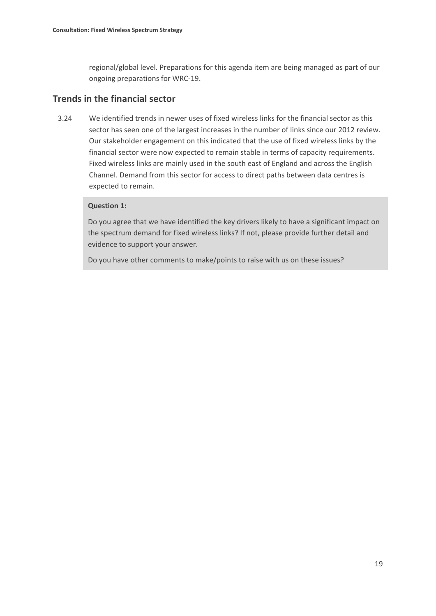regional/global level. Preparations for this agenda item are being managed as part of our ongoing preparations for WRC-19.

## **Trends in the financial sector**

3.24 We identified trends in newer uses of fixed wireless links for the financial sector as this sector has seen one of the largest increases in the number of links since our 2012 review. Our stakeholder engagement on this indicated that the use of fixed wireless links by the financial sector were now expected to remain stable in terms of capacity requirements. Fixed wireless links are mainly used in the south east of England and across the English Channel. Demand from this sector for access to direct paths between data centres is expected to remain.

### **Question 1:**

Do you agree that we have identified the key drivers likely to have a significant impact on the spectrum demand for fixed wireless links? If not, please provide further detail and evidence to support your answer.

Do you have other comments to make/points to raise with us on these issues?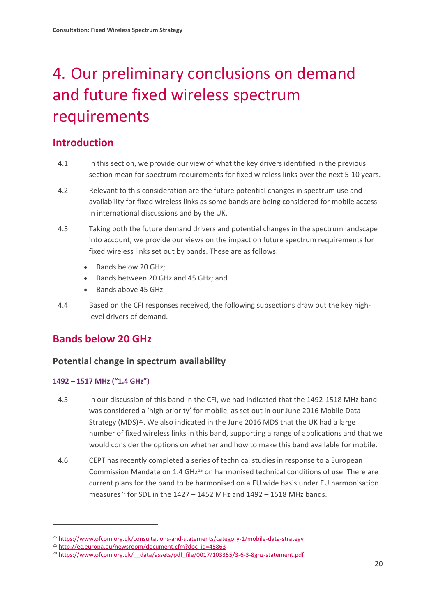# <span id="page-22-0"></span>4. Our preliminary conclusions on demand and future fixed wireless spectrum requirements

# **Introduction**

- 4.1 In this section, we provide our view of what the key drivers identified in the previous section mean for spectrum requirements for fixed wireless links over the next 5-10 years.
- 4.2 Relevant to this consideration are the future potential changes in spectrum use and availability for fixed wireless links as some bands are being considered for mobile access in international discussions and by the UK.
- 4.3 Taking both the future demand drivers and potential changes in the spectrum landscape into account, we provide our views on the impact on future spectrum requirements for fixed wireless links set out by bands. These are as follows:
	- Bands below 20 GHz;
	- Bands between 20 GHz and 45 GHz; and
	- Bands above 45 GHz
- 4.4 Based on the CFI responses received, the following subsections draw out the key highlevel drivers of demand.

# **Bands below 20 GHz**

## **Potential change in spectrum availability**

## **1492 – 1517 MHz ("1.4 GHz")**

- 4.5 In our discussion of this band in the CFI, we had indicated that the 1492-1518 MHz band was considered a 'high priority' for mobile, as set out in our June 2016 Mobile Data Strategy (MDS)[25.](#page-22-1) We also indicated in the June 2016 MDS that the UK had a large number of fixed wireless links in this band, supporting a range of applications and that we would consider the options on whether and how to make this band available for mobile.
- 4.6 CEPT has recently completed a series of technical studies in response to a European Commission Mandate on 1.4 GHz[26](#page-22-2) on harmonised technical conditions of use. There are current plans for the band to be harmonised on a EU wide basis under EU harmonisation measures<sup>[27](#page-22-3)</sup> for SDL in the  $1427 - 1452$  MHz and  $1492 - 1518$  MHz bands.

<span id="page-22-1"></span><sup>&</sup>lt;sup>25</sup> <https://www.ofcom.org.uk/consultations-and-statements/category-1/mobile-data-strategy>

<span id="page-22-3"></span><span id="page-22-2"></span><sup>&</sup>lt;sup>26</sup> http://ec.europa.eu/newsroom/document.cfm?doc\_id=45863

<sup>&</sup>lt;sup>28</sup> https://www.ofcom.org.uk/ data/assets/pdf file/0017/103355/3-6-3-8ghz-statement.pdf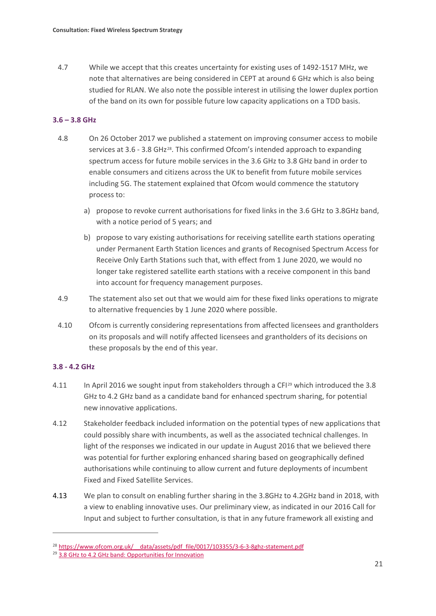4.7 While we accept that this creates uncertainty for existing uses of 1492-1517 MHz, we note that alternatives are being considered in CEPT at around 6 GHz which is also being studied for RLAN. We also note the possible interest in utilising the lower duplex portion of the band on its own for possible future low capacity applications on a TDD basis.

## **3.6 – 3.8 GHz**

- 4.8 On 26 October 2017 we published a statement on improving consumer access to mobile services at 3.6 - 3.8 GHz[28](#page-23-0). This confirmed Ofcom's intended approach to expanding spectrum access for future mobile services in the 3.6 GHz to 3.8 GHz band in order to enable consumers and citizens across the UK to benefit from future mobile services including 5G. The statement explained that Ofcom would commence the statutory process to:
	- a) propose to revoke current authorisations for fixed links in the 3.6 GHz to 3.8GHz band, with a notice period of 5 years; and
	- b) propose to vary existing authorisations for receiving satellite earth stations operating under Permanent Earth Station licences and grants of Recognised Spectrum Access for Receive Only Earth Stations such that, with effect from 1 June 2020, we would no longer take registered satellite earth stations with a receive component in this band into account for frequency management purposes.
- 4.9 The statement also set out that we would aim for these fixed links operations to migrate to alternative frequencies by 1 June 2020 where possible.
- 4.10 Ofcom is currently considering representations from affected licensees and grantholders on its proposals and will notify affected licensees and grantholders of its decisions on these proposals by the end of this year.

## **3.8 - 4.2 GHz**

- 4.11 In April 2016 we sought input from stakeholders through a CFI<sup>[29](#page-23-1)</sup> which introduced the 3.8 GHz to 4.2 GHz band as a candidate band for enhanced spectrum sharing, for potential new innovative applications.
- 4.12 Stakeholder feedback included information on the potential types of new applications that could possibly share with incumbents, as well as the associated technical challenges. In light of the responses we indicated in our update in August 2016 that we believed there was potential for further exploring enhanced sharing based on geographically defined authorisations while continuing to allow current and future deployments of incumbent Fixed and Fixed Satellite Services.
- 4.13 We plan to consult on enabling further sharing in the 3.8GHz to 4.2GHz band in 2018, with a view to enabling innovative uses. Our preliminary view, as indicated in our 2016 Call for Input and subject to further consultation, is that in any future framework all existing and

<span id="page-23-1"></span><span id="page-23-0"></span><sup>&</sup>lt;sup>28</sup> https://www.ofcom.org.uk/ data/assets/pdf file/0017/103355/3-6-3-8ghz-statement.pdf

<sup>&</sup>lt;sup>29</sup> [3.8 GHz to 4.2 GHz band: Opportunities for Innovation](https://www.ofcom.org.uk/__data/assets/pdf_file/0031/79564/3.8-GHz-to-4.2-GHz-band-Opportunities-for-Innovation.pdf)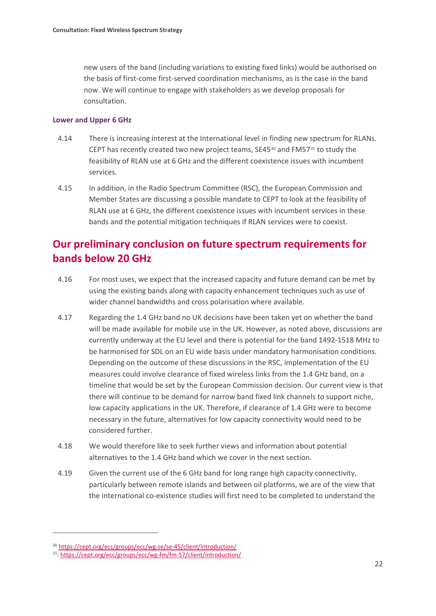new users of the band (including variations to existing fixed links) would be authorised on the basis of first-come first-served coordination mechanisms, as is the case in the band now. We will continue to engage with stakeholders as we develop proposals for consultation.

#### **Lower and Upper 6 GHz**

- 4.14 There is increasing interest at the International level in finding new spectrum for RLANs. CEPT has recently created two new project teams,  $SE45^{30}$  $SE45^{30}$  $SE45^{30}$  and FM57 $31$  to study the feasibility of RLAN use at 6 GHz and the different coexistence issues with incumbent services.
- 4.15 In addition, in the Radio Spectrum Committee (RSC), the European Commission and Member States are discussing a possible mandate to CEPT to look at the feasibility of RLAN use at 6 GHz, the different coexistence issues with incumbent services in these bands and the potential mitigation techniques if RLAN services were to coexist.

# **Our preliminary conclusion on future spectrum requirements for bands below 20 GHz**

- 4.16 For most uses, we expect that the increased capacity and future demand can be met by using the existing bands along with capacity enhancement techniques such as use of wider channel bandwidths and cross polarisation where available.
- 4.17 Regarding the 1.4 GHz band no UK decisions have been taken yet on whether the band will be made available for mobile use in the UK. However, as noted above, discussions are currently underway at the EU level and there is potential for the band 1492-1518 MHz to be harmonised for SDL on an EU wide basis under mandatory harmonisation conditions. Depending on the outcome of these discussions in the RSC, implementation of the EU measures could involve clearance of fixed wireless links from the 1.4 GHz band, on a timeline that would be set by the European Commission decision. Our current view is that there will continue to be demand for narrow band fixed link channels to support niche, low capacity applications in the UK. Therefore, if clearance of 1.4 GHz were to become necessary in the future, alternatives for low capacity connectivity would need to be considered further.
- 4.18 We would therefore like to seek further views and information about potential alternatives to the 1.4 GHz band which we cover in the next section.
- 4.19 Given the current use of the 6 GHz band for long range high capacity connectivity, particularly between remote islands and between oil platforms, we are of the view that the international co-existence studies will first need to be completed to understand the

<span id="page-24-0"></span><sup>30</sup> <https://cept.org/ecc/groups/ecc/wg-se/se-45/client/introduction/>

<span id="page-24-1"></span><sup>31:</sup> <https://cept.org/ecc/groups/ecc/wg-fm/fm-57/client/introduction/>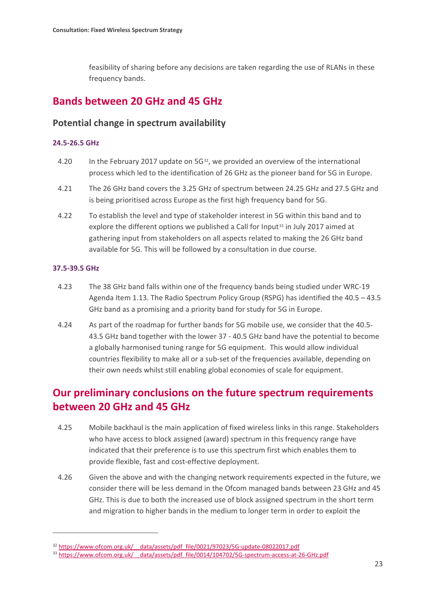feasibility of sharing before any decisions are taken regarding the use of RLANs in these frequency bands.

## **Bands between 20 GHz and 45 GHz**

## **Potential change in spectrum availability**

### **24.5-26.5 GHz**

- 4.20 In the February 2017 update on  $5G^{32}$ , we provided an overview of the international process which led to the identification of 26 GHz as the pioneer band for 5G in Europe.
- 4.21 The 26 GHz band covers the 3.25 GHz of spectrum between 24.25 GHz and 27.5 GHz and is being prioritised across Europe as the first high frequency band for 5G.
- 4.22 To establish the level and type of stakeholder interest in 5G within this band and to explore the different options we published a Call for Input<sup>[33](#page-25-1)</sup> in July 2017 aimed at gathering input from stakeholders on all aspects related to making the 26 GHz band available for 5G. This will be followed by a consultation in due course.

### **37.5-39.5 GHz**

 $\overline{a}$ 

- 4.23 The 38 GHz band falls within one of the frequency bands being studied under WRC-19 Agenda Item 1.13. The Radio Spectrum Policy Group (RSPG) has identified the 40.5 – 43.5 GHz band as a promising and a priority band for study for 5G in Europe.
- 4.24 As part of the roadmap for further bands for 5G mobile use, we consider that the 40.5- 43.5 GHz band together with the lower 37 - 40.5 GHz band have the potential to become a globally harmonised tuning range for 5G equipment. This would allow individual countries flexibility to make all or a sub-set of the frequencies available, depending on their own needs whilst still enabling global economies of scale for equipment.

# **Our preliminary conclusions on the future spectrum requirements between 20 GHz and 45 GHz**

- 4.25 Mobile backhaul is the main application of fixed wireless links in this range. Stakeholders who have access to block assigned (award) spectrum in this frequency range have indicated that their preference is to use this spectrum first which enables them to provide flexible, fast and cost-effective deployment.
- 4.26 Given the above and with the changing network requirements expected in the future, we consider there will be less demand in the Ofcom managed bands between 23 GHz and 45 GHz. This is due to both the increased use of block assigned spectrum in the short term and migration to higher bands in the medium to longer term in order to exploit the

<span id="page-25-0"></span> $\frac{32 \text{ https://www.ofcom.org.uk/\_data/assets/pdf file/0021/97023/5G-update-08022017.pdf}{33 \text{ https://www.ofcom.org.uk/\_data/assets/pdf file/0014/104702/5G-spectrum-access-at-26-GHz.pdf}}$ 

<span id="page-25-1"></span>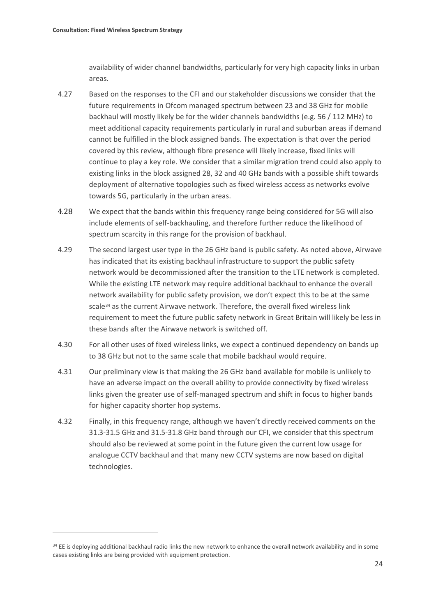$\overline{a}$ 

availability of wider channel bandwidths, particularly for very high capacity links in urban areas.

- 4.27 Based on the responses to the CFI and our stakeholder discussions we consider that the future requirements in Ofcom managed spectrum between 23 and 38 GHz for mobile backhaul will mostly likely be for the wider channels bandwidths (e.g. 56 / 112 MHz) to meet additional capacity requirements particularly in rural and suburban areas if demand cannot be fulfilled in the block assigned bands. The expectation is that over the period covered by this review, although fibre presence will likely increase, fixed links will continue to play a key role. We consider that a similar migration trend could also apply to existing links in the block assigned 28, 32 and 40 GHz bands with a possible shift towards deployment of alternative topologies such as fixed wireless access as networks evolve towards 5G, particularly in the urban areas.
- 4.28 We expect that the bands within this frequency range being considered for 5G will also include elements of self-backhauling, and therefore further reduce the likelihood of spectrum scarcity in this range for the provision of backhaul.
- 4.29 The second largest user type in the 26 GHz band is public safety. As noted above, Airwave has indicated that its existing backhaul infrastructure to support the public safety network would be decommissioned after the transition to the LTE network is completed. While the existing LTE network may require additional backhaul to enhance the overall network availability for public safety provision, we don't expect this to be at the same scale[34](#page-26-0) as the current Airwave network. Therefore, the overall fixed wireless link requirement to meet the future public safety network in Great Britain will likely be less in these bands after the Airwave network is switched off.
- 4.30 For all other uses of fixed wireless links, we expect a continued dependency on bands up to 38 GHz but not to the same scale that mobile backhaul would require.
- 4.31 Our preliminary view is that making the 26 GHz band available for mobile is unlikely to have an adverse impact on the overall ability to provide connectivity by fixed wireless links given the greater use of self-managed spectrum and shift in focus to higher bands for higher capacity shorter hop systems.
- 4.32 Finally, in this frequency range, although we haven't directly received comments on the 31.3-31.5 GHz and 31.5-31.8 GHz band through our CFI, we consider that this spectrum should also be reviewed at some point in the future given the current low usage for analogue CCTV backhaul and that many new CCTV systems are now based on digital technologies.

<span id="page-26-0"></span><sup>&</sup>lt;sup>34</sup> EE is deploying additional backhaul radio links the new network to enhance the overall network availability and in some cases existing links are being provided with equipment protection.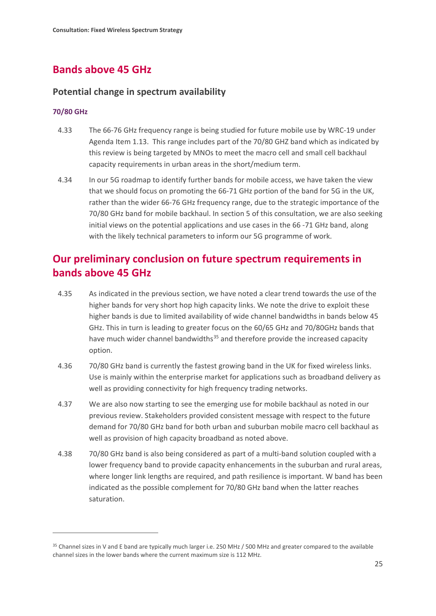# **Bands above 45 GHz**

## **Potential change in spectrum availability**

### **70/80 GHz**

 $\overline{a}$ 

- 4.33 The 66-76 GHz frequency range is being studied for future mobile use by WRC-19 under Agenda Item 1.13. This range includes part of the 70/80 GHZ band which as indicated by this review is being targeted by MNOs to meet the macro cell and small cell backhaul capacity requirements in urban areas in the short/medium term.
- 4.34 In our 5G roadmap to identify further bands for mobile access, we have taken the view that we should focus on promoting the 66-71 GHz portion of the band for 5G in the UK, rather than the wider 66-76 GHz frequency range, due to the strategic importance of the 70/80 GHz band for mobile backhaul. In section 5 of this consultation, we are also seeking initial views on the potential applications and use cases in the 66 -71 GHz band, along with the likely technical parameters to inform our 5G programme of work.

# **Our preliminary conclusion on future spectrum requirements in bands above 45 GHz**

- 4.35 As indicated in the previous section, we have noted a clear trend towards the use of the higher bands for very short hop high capacity links. We note the drive to exploit these higher bands is due to limited availability of wide channel bandwidths in bands below 45 GHz. This in turn is leading to greater focus on the 60/65 GHz and 70/80GHz bands that have much wider channel bandwidths<sup>[35](#page-27-0)</sup> and therefore provide the increased capacity option.
- 4.36 70/80 GHz band is currently the fastest growing band in the UK for fixed wireless links. Use is mainly within the enterprise market for applications such as broadband delivery as well as providing connectivity for high frequency trading networks.
- 4.37 We are also now starting to see the emerging use for mobile backhaul as noted in our previous review. Stakeholders provided consistent message with respect to the future demand for 70/80 GHz band for both urban and suburban mobile macro cell backhaul as well as provision of high capacity broadband as noted above.
- 4.38 70/80 GHz band is also being considered as part of a multi-band solution coupled with a lower frequency band to provide capacity enhancements in the suburban and rural areas, where longer link lengths are required, and path resilience is important. W band has been indicated as the possible complement for 70/80 GHz band when the latter reaches saturation.

<span id="page-27-0"></span><sup>&</sup>lt;sup>35</sup> Channel sizes in V and E band are typically much larger i.e. 250 MHz / 500 MHz and greater compared to the available channel sizes in the lower bands where the current maximum size is 112 MHz.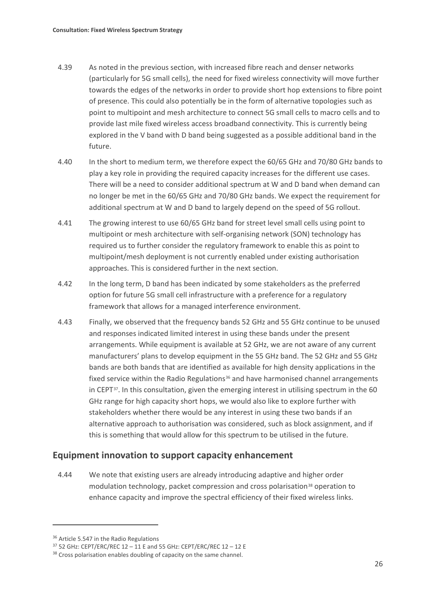- 4.39 As noted in the previous section, with increased fibre reach and denser networks (particularly for 5G small cells), the need for fixed wireless connectivity will move further towards the edges of the networks in order to provide short hop extensions to fibre point of presence. This could also potentially be in the form of alternative topologies such as point to multipoint and mesh architecture to connect 5G small cells to macro cells and to provide last mile fixed wireless access broadband connectivity. This is currently being explored in the V band with D band being suggested as a possible additional band in the future.
- 4.40 In the short to medium term, we therefore expect the 60/65 GHz and 70/80 GHz bands to play a key role in providing the required capacity increases for the different use cases. There will be a need to consider additional spectrum at W and D band when demand can no longer be met in the 60/65 GHz and 70/80 GHz bands. We expect the requirement for additional spectrum at W and D band to largely depend on the speed of 5G rollout.
- 4.41 The growing interest to use 60/65 GHz band for street level small cells using point to multipoint or mesh architecture with self-organising network (SON) technology has required us to further consider the regulatory framework to enable this as point to multipoint/mesh deployment is not currently enabled under existing authorisation approaches. This is considered further in the next section.
- 4.42 In the long term, D band has been indicated by some stakeholders as the preferred option for future 5G small cell infrastructure with a preference for a regulatory framework that allows for a managed interference environment.
- 4.43 Finally, we observed that the frequency bands 52 GHz and 55 GHz continue to be unused and responses indicated limited interest in using these bands under the present arrangements. While equipment is available at 52 GHz, we are not aware of any current manufacturers' plans to develop equipment in the 55 GHz band. The 52 GHz and 55 GHz bands are both bands that are identified as available for high density applications in the fixed service within the Radio Regulations<sup>[36](#page-28-0)</sup> and have harmonised channel arrangements in CEPT<sup>[37](#page-28-1)</sup>. In this consultation, given the emerging interest in utilising spectrum in the 60 GHz range for high capacity short hops, we would also like to explore further with stakeholders whether there would be any interest in using these two bands if an alternative approach to authorisation was considered, such as block assignment, and if this is something that would allow for this spectrum to be utilised in the future.

## **Equipment innovation to support capacity enhancement**

4.44 We note that existing users are already introducing adaptive and higher order modulation technology, packet compression and cross polarisation<sup>[38](#page-28-2)</sup> operation to enhance capacity and improve the spectral efficiency of their fixed wireless links.

<span id="page-28-1"></span><span id="page-28-0"></span><sup>&</sup>lt;sup>36</sup> Article 5.547 in the Radio Regulations<br><sup>37</sup> 52 GHz: CEPT/ERC/REC 12 – 11 E and 55 GHz: CEPT/ERC/REC 12 – 12 E

<span id="page-28-2"></span><sup>&</sup>lt;sup>38</sup> Cross polarisation enables doubling of capacity on the same channel.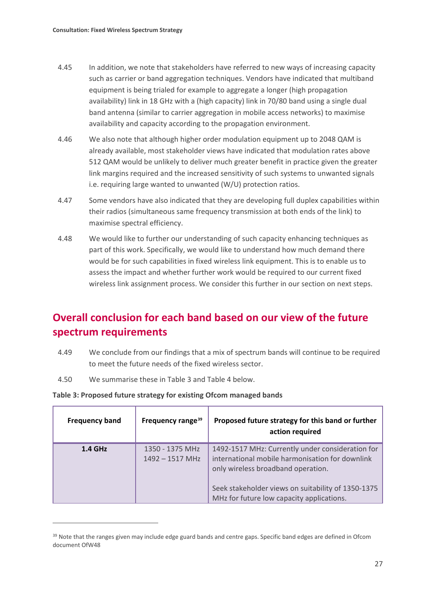- 4.45 In addition, we note that stakeholders have referred to new ways of increasing capacity such as carrier or band aggregation techniques. Vendors have indicated that multiband equipment is being trialed for example to aggregate a longer (high propagation availability) link in 18 GHz with a (high capacity) link in 70/80 band using a single dual band antenna (similar to carrier aggregation in mobile access networks) to maximise availability and capacity according to the propagation environment.
- 4.46 We also note that although higher order modulation equipment up to 2048 QAM is already available, most stakeholder views have indicated that modulation rates above 512 QAM would be unlikely to deliver much greater benefit in practice given the greater link margins required and the increased sensitivity of such systems to unwanted signals i.e. requiring large wanted to unwanted (W/U) protection ratios.
- 4.47 Some vendors have also indicated that they are developing full duplex capabilities within their radios (simultaneous same frequency transmission at both ends of the link) to maximise spectral efficiency.
- 4.48 We would like to further our understanding of such capacity enhancing techniques as part of this work. Specifically, we would like to understand how much demand there would be for such capabilities in fixed wireless link equipment. This is to enable us to assess the impact and whether further work would be required to our current fixed wireless link assignment process. We consider this further in our section on next steps.

# **Overall conclusion for each band based on our view of the future spectrum requirements**

- 4.49 We conclude from our findings that a mix of spectrum bands will continue to be required to meet the future needs of the fixed wireless sector.
- 4.50 We summarise these in Table 3 and Table 4 below.

 $\overline{a}$ 

| <b>Frequency band</b> | Frequency range <sup>39</sup>        | Proposed future strategy for this band or further<br>action required                                                                                                                                                                         |
|-----------------------|--------------------------------------|----------------------------------------------------------------------------------------------------------------------------------------------------------------------------------------------------------------------------------------------|
| $1.4$ GHz             | 1350 - 1375 MHz<br>$1492 - 1517$ MHz | 1492-1517 MHz: Currently under consideration for<br>international mobile harmonisation for downlink<br>only wireless broadband operation.<br>Seek stakeholder views on suitability of 1350-1375<br>MHz for future low capacity applications. |

### **Table 3: Proposed future strategy for existing Ofcom managed bands**

<span id="page-29-0"></span><sup>&</sup>lt;sup>39</sup> Note that the ranges given may include edge guard bands and centre gaps. Specific band edges are defined in Ofcom document OfW48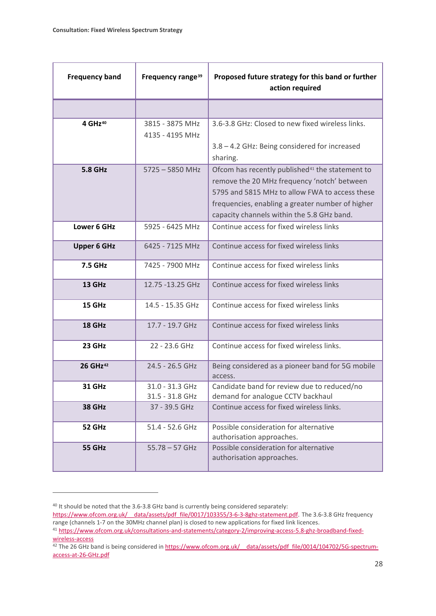| <b>Frequency band</b> | Frequency range <sup>39</sup>      | Proposed future strategy for this band or further<br>action required                                                                                                                                                                                           |
|-----------------------|------------------------------------|----------------------------------------------------------------------------------------------------------------------------------------------------------------------------------------------------------------------------------------------------------------|
|                       |                                    |                                                                                                                                                                                                                                                                |
| 4 GHz <sup>40</sup>   | 3815 - 3875 MHz<br>4135 - 4195 MHz | 3.6-3.8 GHz: Closed to new fixed wireless links.<br>3.8 - 4.2 GHz: Being considered for increased<br>sharing.                                                                                                                                                  |
| <b>5.8 GHz</b>        | $5725 - 5850$ MHz                  | Ofcom has recently published <sup>41</sup> the statement to<br>remove the 20 MHz frequency 'notch' between<br>5795 and 5815 MHz to allow FWA to access these<br>frequencies, enabling a greater number of higher<br>capacity channels within the 5.8 GHz band. |
| Lower 6 GHz           | 5925 - 6425 MHz                    | Continue access for fixed wireless links                                                                                                                                                                                                                       |
| <b>Upper 6 GHz</b>    | 6425 - 7125 MHz                    | Continue access for fixed wireless links                                                                                                                                                                                                                       |
| 7.5 GHz               | 7425 - 7900 MHz                    | Continue access for fixed wireless links                                                                                                                                                                                                                       |
| 13 GHz                | 12.75 -13.25 GHz                   | Continue access for fixed wireless links                                                                                                                                                                                                                       |
| 15 GHz                | 14.5 - 15.35 GHz                   | Continue access for fixed wireless links                                                                                                                                                                                                                       |
| 18 GHz                | 17.7 - 19.7 GHz                    | Continue access for fixed wireless links                                                                                                                                                                                                                       |
| 23 GHz                | 22 - 23.6 GHz                      | Continue access for fixed wireless links.                                                                                                                                                                                                                      |
| 26 GHz <sup>42</sup>  | 24.5 - 26.5 GHz                    | Being considered as a pioneer band for 5G mobile<br>access.                                                                                                                                                                                                    |
| <b>31 GHz</b>         | 31.0 - 31.3 GHz<br>31.5 - 31.8 GHz | Candidate band for review due to reduced/no<br>demand for analogue CCTV backhaul                                                                                                                                                                               |
| <b>38 GHz</b>         | 37 - 39.5 GHz                      | Continue access for fixed wireless links.                                                                                                                                                                                                                      |
| 52 GHz                | 51.4 - 52.6 GHz                    | Possible consideration for alternative<br>authorisation approaches.                                                                                                                                                                                            |
| 55 GHz                | $55.78 - 57$ GHz                   | Possible consideration for alternative<br>authorisation approaches.                                                                                                                                                                                            |

**.** 

<span id="page-30-0"></span><sup>&</sup>lt;sup>40</sup> It should be noted that the 3.6-3.8 GHz band is currently being considered separately:

https://www.ofcom.org.uk/ data/assets/pdf file/0017/103355/3-6-3-8ghz-statement.pdf. The 3.6-3.8 GHz frequency range (channels 1-7 on the 30MHz channel plan) is closed to new applications for fixed link licences.

<span id="page-30-1"></span><sup>41</sup> [https://www.ofcom.org.uk/consultations-and-statements/category-2/improving-access-5.8-ghz-broadband-fixed](https://www.ofcom.org.uk/consultations-and-statements/category-2/improving-access-5.8-ghz-broadband-fixed-wireless-access)[wireless-access](https://www.ofcom.org.uk/consultations-and-statements/category-2/improving-access-5.8-ghz-broadband-fixed-wireless-access)

<span id="page-30-2"></span><sup>&</sup>lt;sup>42</sup> The 26 GHz band is being considered in https://www.ofcom.org.uk/ data/assets/pdf file/0014/104702/5G-spectrum[access-at-26-GHz.pdf](https://www.ofcom.org.uk/__data/assets/pdf_file/0014/104702/5G-spectrum-access-at-26-GHz.pdf)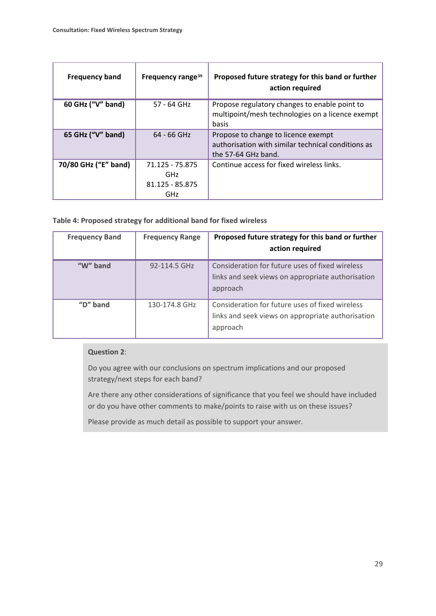| <b>Frequency band</b> | Frequency range <sup>39</sup>                                  | Proposed future strategy for this band or further<br>action required                                             |
|-----------------------|----------------------------------------------------------------|------------------------------------------------------------------------------------------------------------------|
| 60 GHz ("V" band)     | 57 - 64 GHz                                                    | Propose regulatory changes to enable point to<br>multipoint/mesh technologies on a licence exempt<br>basis       |
| 65 GHz ("V" band)     | $64 - 66$ GHz                                                  | Propose to change to licence exempt<br>authorisation with similar technical conditions as<br>the 57-64 GHz band. |
| 70/80 GHz ("E" band)  | 71.125 - 75.875<br><b>GHz</b><br>81.125 - 85.875<br><b>GHz</b> | Continue access for fixed wireless links.                                                                        |

## **Table 4: Proposed strategy for additional band for fixed wireless**

| <b>Frequency Band</b> | <b>Frequency Range</b> | Proposed future strategy for this band or further<br>action required                                             |
|-----------------------|------------------------|------------------------------------------------------------------------------------------------------------------|
| " $W$ " band          | 92-114.5 GHz           | Consideration for future uses of fixed wireless<br>links and seek views on appropriate authorisation<br>approach |
| " $D$ " band          | 130-174.8 GHz          | Consideration for future uses of fixed wireless<br>links and seek views on appropriate authorisation<br>approach |

## **Question 2**:

Do you agree with our conclusions on spectrum implications and our proposed strategy/next steps for each band?

Are there any other considerations of significance that you feel we should have included or do you have other comments to make/points to raise with us on these issues?

Please provide as much detail as possible to support your answer.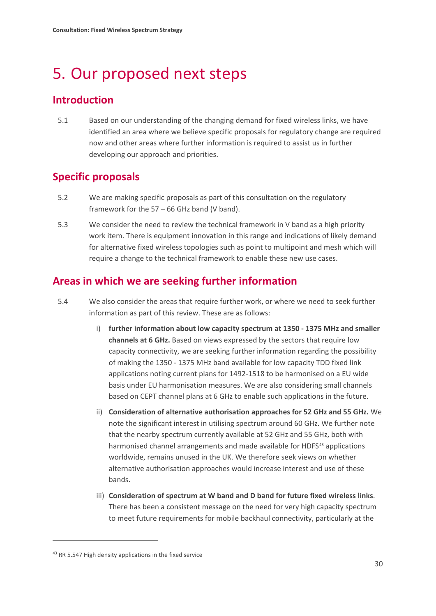# <span id="page-32-0"></span>5. Our proposed next steps

# **Introduction**

5.1 Based on our understanding of the changing demand for fixed wireless links, we have identified an area where we believe specific proposals for regulatory change are required now and other areas where further information is required to assist us in further developing our approach and priorities.

# **Specific proposals**

- 5.2 We are making specific proposals as part of this consultation on the regulatory framework for the 57 – 66 GHz band (V band).
- 5.3 We consider the need to review the technical framework in V band as a high priority work item. There is equipment innovation in this range and indications of likely demand for alternative fixed wireless topologies such as point to multipoint and mesh which will require a change to the technical framework to enable these new use cases.

# **Areas in which we are seeking further information**

- 5.4 We also consider the areas that require further work, or where we need to seek further information as part of this review. These are as follows:
	- i) **further information about low capacity spectrum at 1350 - 1375 MHz and smaller channels at 6 GHz.** Based on views expressed by the sectors that require low capacity connectivity, we are seeking further information regarding the possibility of making the 1350 - 1375 MHz band available for low capacity TDD fixed link applications noting current plans for 1492-1518 to be harmonised on a EU wide basis under EU harmonisation measures. We are also considering small channels based on CEPT channel plans at 6 GHz to enable such applications in the future.
	- ii) **Consideration of alternative authorisation approaches for 52 GHz and 55 GHz.** We note the significant interest in utilising spectrum around 60 GHz. We further note that the nearby spectrum currently available at 52 GHz and 55 GHz, both with harmonised channel arrangements and made available for HDFS<sup>[43](#page-32-1)</sup> applications worldwide, remains unused in the UK. We therefore seek views on whether alternative authorisation approaches would increase interest and use of these bands.
	- iii) **Consideration of spectrum at W band and D band for future fixed wireless links**. There has been a consistent message on the need for very high capacity spectrum to meet future requirements for mobile backhaul connectivity, particularly at the

**.** 

<span id="page-32-1"></span><sup>&</sup>lt;sup>43</sup> RR 5.547 High density applications in the fixed service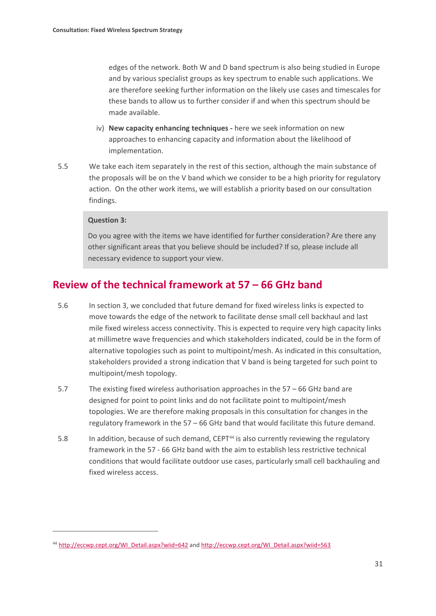edges of the network. Both W and D band spectrum is also being studied in Europe and by various specialist groups as key spectrum to enable such applications. We are therefore seeking further information on the likely use cases and timescales for these bands to allow us to further consider if and when this spectrum should be made available.

- iv) **New capacity enhancing techniques** *-* here we seek information on new approaches to enhancing capacity and information about the likelihood of implementation.
- 5.5 We take each item separately in the rest of this section, although the main substance of the proposals will be on the V band which we consider to be a high priority for regulatory action. On the other work items, we will establish a priority based on our consultation findings.

### **Question 3:**

**.** 

Do you agree with the items we have identified for further consideration? Are there any other significant areas that you believe should be included? If so, please include all necessary evidence to support your view.

## **Review of the technical framework at 57 – 66 GHz band**

- 5.6 In section 3, we concluded that future demand for fixed wireless links is expected to move towards the edge of the network to facilitate dense small cell backhaul and last mile fixed wireless access connectivity. This is expected to require very high capacity links at millimetre wave frequencies and which stakeholders indicated, could be in the form of alternative topologies such as point to multipoint/mesh. As indicated in this consultation, stakeholders provided a strong indication that V band is being targeted for such point to multipoint/mesh topology.
- 5.7 The existing fixed wireless authorisation approaches in the 57 66 GHz band are designed for point to point links and do not facilitate point to multipoint/mesh topologies. We are therefore making proposals in this consultation for changes in the regulatory framework in the 57 – 66 GHz band that would facilitate this future demand.
- 5.8 In addition, because of such demand, CEPT<sup>[44](#page-33-0)</sup> is also currently reviewing the regulatory framework in the 57 - 66 GHz band with the aim to establish less restrictive technical conditions that would facilitate outdoor use cases, particularly small cell backhauling and fixed wireless access.

<span id="page-33-0"></span><sup>44</sup> [http://eccwp.cept.org/WI\\_Detail.aspx?wiid=642](http://eccwp.cept.org/WI_Detail.aspx?wiid=642) and [http://eccwp.cept.org/WI\\_Detail.aspx?wiid=563](http://eccwp.cept.org/WI_Detail.aspx?wiid=563)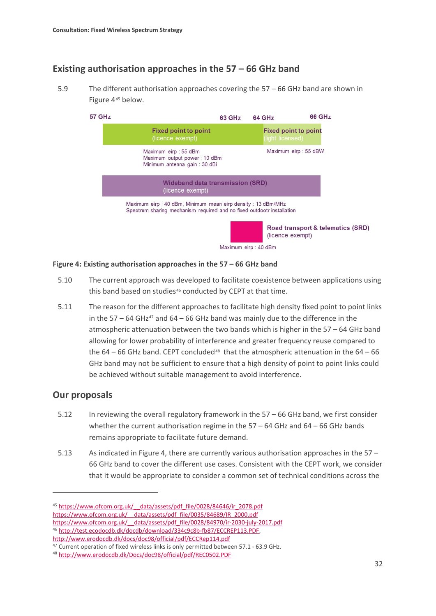## **Existing authorisation approaches in the 57 – 66 GHz band**

5.9 The different authorisation approaches covering the 57 – 66 GHz band are shown in Figure 4<sup>[45](#page-34-0)</sup> below.



Maximum eirp : 40 dBm

### **Figure 4: Existing authorisation approaches in the 57 – 66 GHz band**

- 5.10 The current approach was developed to facilitate coexistence between applications using this band based on studies<sup>[46](#page-34-1)</sup> conducted by CEPT at that time.
- 5.11 The reason for the different approaches to facilitate high density fixed point to point links in the 57 – 64 GHz<sup>[47](#page-34-2)</sup> and 64 – 66 GHz band was mainly due to the difference in the atmospheric attenuation between the two bands which is higher in the 57 – 64 GHz band allowing for lower probability of interference and greater frequency reuse compared to the  $64 - 66$  GHz band. CEPT concluded<sup>[48](#page-34-3)</sup> that the atmospheric attenuation in the  $64 - 66$ GHz band may not be sufficient to ensure that a high density of point to point links could be achieved without suitable management to avoid interference.

## **Our proposals**

**.** 

- 5.12 In reviewing the overall regulatory framework in the 57 66 GHz band, we first consider whether the current authorisation regime in the  $57 - 64$  GHz and  $64 - 66$  GHz bands remains appropriate to facilitate future demand.
- 5.13 As indicated in Figure 4, there are currently various authorisation approaches in the  $57 -$ 66 GHz band to cover the different use cases. Consistent with the CEPT work, we consider that it would be appropriate to consider a common set of technical conditions across the

<span id="page-34-0"></span><sup>45</sup> [https://www.ofcom.org.uk/\\_\\_data/assets/pdf\\_file/0028/84646/ir\\_2078.pdf](https://www.ofcom.org.uk/__data/assets/pdf_file/0028/84646/ir_2078.pdf) https://www.ofcom.org.uk/ data/assets/pdf\_file/0035/84689/IR\_2000.pdf https://www.ofcom.org.uk/ data/assets/pdf file/0028/84970/ir-2030-july-2017.pdf

<span id="page-34-1"></span><sup>46</sup> [http://test.ecodocdb.dk/docdb/download/334c9c8b-fb87/ECCREP113.PDF,](http://test.ecodocdb.dk/docdb/download/334c9c8b-fb87/ECCREP113.PDF) <http://www.erodocdb.dk/docs/doc98/official/pdf/ECCRep114.pdf>

<span id="page-34-2"></span><sup>&</sup>lt;sup>47</sup> Current operation of fixed wireless links is only permitted between 57.1 - 63.9 GHz.

<span id="page-34-3"></span><sup>48</sup> http://www.erodocdb.dk/Docs/doc98/official/pdf/REC0502.PDF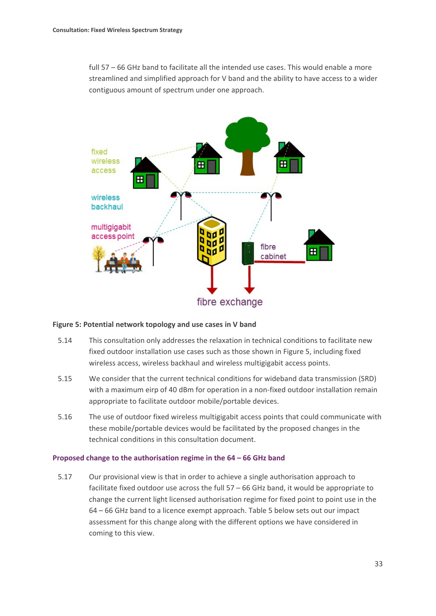full 57 – 66 GHz band to facilitate all the intended use cases. This would enable a more streamlined and simplified approach for V band and the ability to have access to a wider contiguous amount of spectrum under one approach.



#### **Figure 5: Potential network topology and use cases in V band**

- 5.14 This consultation only addresses the relaxation in technical conditions to facilitate new fixed outdoor installation use cases such as those shown in Figure 5, including fixed wireless access, wireless backhaul and wireless multigigabit access points.
- 5.15 We consider that the current technical conditions for wideband data transmission (SRD) with a maximum eirp of 40 dBm for operation in a non-fixed outdoor installation remain appropriate to facilitate outdoor mobile/portable devices.
- 5.16 The use of outdoor fixed wireless multigigabit access points that could communicate with these mobile/portable devices would be facilitated by the proposed changes in the technical conditions in this consultation document.

#### **Proposed change to the authorisation regime in the 64 – 66 GHz band**

5.17 Our provisional view is that in order to achieve a single authorisation approach to facilitate fixed outdoor use across the full 57 – 66 GHz band, it would be appropriate to change the current light licensed authorisation regime for fixed point to point use in the 64 – 66 GHz band to a licence exempt approach. Table 5 below sets out our impact assessment for this change along with the different options we have considered in coming to this view.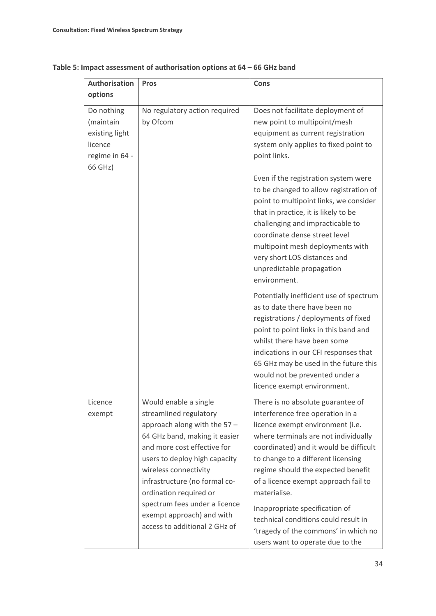| <b>Authorisation</b>                                                              | <b>Pros</b>                                                                                                                                                                                                                                                                                                                                                         | Cons                                                                                                                                                                                                                                                                                                                                                                                                                                                                                  |
|-----------------------------------------------------------------------------------|---------------------------------------------------------------------------------------------------------------------------------------------------------------------------------------------------------------------------------------------------------------------------------------------------------------------------------------------------------------------|---------------------------------------------------------------------------------------------------------------------------------------------------------------------------------------------------------------------------------------------------------------------------------------------------------------------------------------------------------------------------------------------------------------------------------------------------------------------------------------|
| options                                                                           |                                                                                                                                                                                                                                                                                                                                                                     |                                                                                                                                                                                                                                                                                                                                                                                                                                                                                       |
| Do nothing<br>(maintain<br>existing light<br>licence<br>regime in 64 -<br>66 GHz) | No regulatory action required<br>by Ofcom                                                                                                                                                                                                                                                                                                                           | Does not facilitate deployment of<br>new point to multipoint/mesh<br>equipment as current registration<br>system only applies to fixed point to<br>point links.                                                                                                                                                                                                                                                                                                                       |
|                                                                                   |                                                                                                                                                                                                                                                                                                                                                                     | Even if the registration system were<br>to be changed to allow registration of<br>point to multipoint links, we consider<br>that in practice, it is likely to be<br>challenging and impracticable to<br>coordinate dense street level<br>multipoint mesh deployments with<br>very short LOS distances and<br>unpredictable propagation<br>environment.                                                                                                                                |
|                                                                                   |                                                                                                                                                                                                                                                                                                                                                                     | Potentially inefficient use of spectrum<br>as to date there have been no<br>registrations / deployments of fixed<br>point to point links in this band and<br>whilst there have been some<br>indications in our CFI responses that<br>65 GHz may be used in the future this<br>would not be prevented under a<br>licence exempt environment.                                                                                                                                           |
| Licence<br>exempt                                                                 | Would enable a single<br>streamlined regulatory<br>approach along with the 57 -<br>64 GHz band, making it easier<br>and more cost effective for<br>users to deploy high capacity<br>wireless connectivity<br>infrastructure (no formal co-<br>ordination required or<br>spectrum fees under a licence<br>exempt approach) and with<br>access to additional 2 GHz of | There is no absolute guarantee of<br>interference free operation in a<br>licence exempt environment (i.e.<br>where terminals are not individually<br>coordinated) and it would be difficult<br>to change to a different licensing<br>regime should the expected benefit<br>of a licence exempt approach fail to<br>materialise.<br>Inappropriate specification of<br>technical conditions could result in<br>'tragedy of the commons' in which no<br>users want to operate due to the |

## **Table 5: Impact assessment of authorisation options at 64 – 66 GHz band**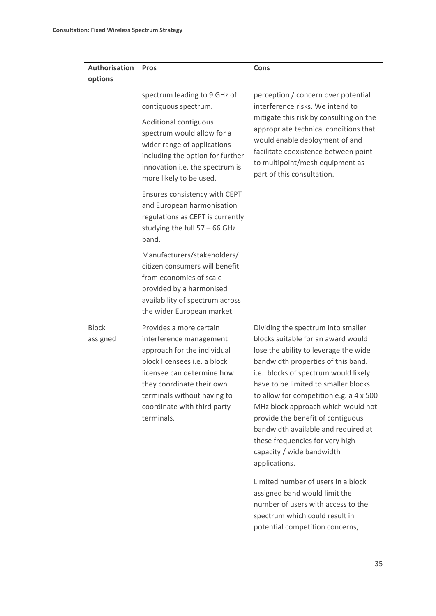| <b>Authorisation</b>     |                                                                                                                                                                                                                                                          |                                                                                                                                                                                                                                                                                                                                                                                                                                                                                                                             |
|--------------------------|----------------------------------------------------------------------------------------------------------------------------------------------------------------------------------------------------------------------------------------------------------|-----------------------------------------------------------------------------------------------------------------------------------------------------------------------------------------------------------------------------------------------------------------------------------------------------------------------------------------------------------------------------------------------------------------------------------------------------------------------------------------------------------------------------|
|                          | <b>Pros</b>                                                                                                                                                                                                                                              | <b>Cons</b>                                                                                                                                                                                                                                                                                                                                                                                                                                                                                                                 |
| options                  |                                                                                                                                                                                                                                                          |                                                                                                                                                                                                                                                                                                                                                                                                                                                                                                                             |
|                          | spectrum leading to 9 GHz of<br>contiguous spectrum.<br>Additional contiguous<br>spectrum would allow for a<br>wider range of applications<br>including the option for further<br>innovation i.e. the spectrum is<br>more likely to be used.             | perception / concern over potential<br>interference risks. We intend to<br>mitigate this risk by consulting on the<br>appropriate technical conditions that<br>would enable deployment of and<br>facilitate coexistence between point<br>to multipoint/mesh equipment as<br>part of this consultation.                                                                                                                                                                                                                      |
|                          | Ensures consistency with CEPT<br>and European harmonisation<br>regulations as CEPT is currently<br>studying the full 57 - 66 GHz<br>band.                                                                                                                |                                                                                                                                                                                                                                                                                                                                                                                                                                                                                                                             |
|                          | Manufacturers/stakeholders/<br>citizen consumers will benefit<br>from economies of scale<br>provided by a harmonised<br>availability of spectrum across<br>the wider European market.                                                                    |                                                                                                                                                                                                                                                                                                                                                                                                                                                                                                                             |
| <b>Block</b><br>assigned | Provides a more certain<br>interference management<br>approach for the individual<br>block licensees i.e. a block<br>licensee can determine how<br>they coordinate their own<br>terminals without having to<br>coordinate with third party<br>terminals. | Dividing the spectrum into smaller<br>blocks suitable for an award would<br>lose the ability to leverage the wide<br>bandwidth properties of this band.<br>i.e. blocks of spectrum would likely<br>have to be limited to smaller blocks<br>to allow for competition e.g. a 4 x 500<br>MHz block approach which would not<br>provide the benefit of contiguous<br>bandwidth available and required at<br>these frequencies for very high<br>capacity / wide bandwidth<br>applications.<br>Limited number of users in a block |
|                          |                                                                                                                                                                                                                                                          | assigned band would limit the<br>number of users with access to the<br>spectrum which could result in<br>potential competition concerns,                                                                                                                                                                                                                                                                                                                                                                                    |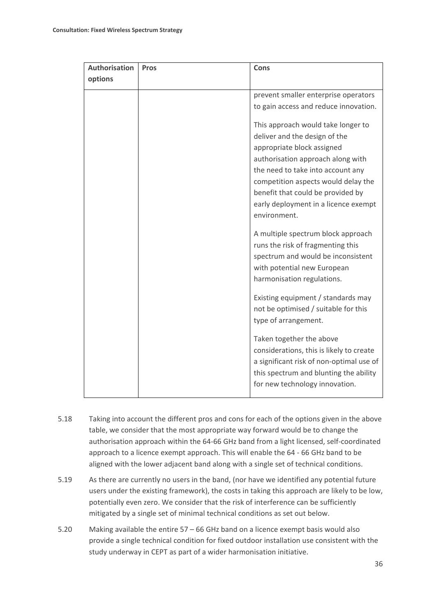| <b>Authorisation</b> | <b>Pros</b> | <b>Cons</b>                                                                                                                                                                                                                                                                                                     |
|----------------------|-------------|-----------------------------------------------------------------------------------------------------------------------------------------------------------------------------------------------------------------------------------------------------------------------------------------------------------------|
| options              |             |                                                                                                                                                                                                                                                                                                                 |
|                      |             | prevent smaller enterprise operators<br>to gain access and reduce innovation.                                                                                                                                                                                                                                   |
|                      |             | This approach would take longer to<br>deliver and the design of the<br>appropriate block assigned<br>authorisation approach along with<br>the need to take into account any<br>competition aspects would delay the<br>benefit that could be provided by<br>early deployment in a licence exempt<br>environment. |
|                      |             | A multiple spectrum block approach<br>runs the risk of fragmenting this<br>spectrum and would be inconsistent<br>with potential new European<br>harmonisation regulations.                                                                                                                                      |
|                      |             | Existing equipment / standards may<br>not be optimised / suitable for this<br>type of arrangement.                                                                                                                                                                                                              |
|                      |             | Taken together the above<br>considerations, this is likely to create<br>a significant risk of non-optimal use of<br>this spectrum and blunting the ability<br>for new technology innovation.                                                                                                                    |

- 5.18 Taking into account the different pros and cons for each of the options given in the above table, we consider that the most appropriate way forward would be to change the authorisation approach within the 64-66 GHz band from a light licensed, self-coordinated approach to a licence exempt approach. This will enable the 64 - 66 GHz band to be aligned with the lower adjacent band along with a single set of technical conditions.
- 5.19 As there are currently no users in the band, (nor have we identified any potential future users under the existing framework), the costs in taking this approach are likely to be low, potentially even zero. We consider that the risk of interference can be sufficiently mitigated by a single set of minimal technical conditions as set out below.
- 5.20 Making available the entire 57 66 GHz band on a licence exempt basis would also provide a single technical condition for fixed outdoor installation use consistent with the study underway in CEPT as part of a wider harmonisation initiative.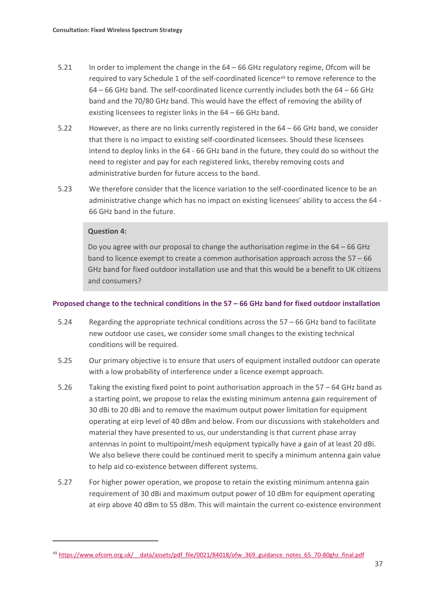- 5.21 In order to implement the change in the 64 66 GHz regulatory regime, Ofcom will be required to vary Schedule 1 of the self-coordinated licence<sup>[49](#page-39-0)</sup> to remove reference to the 64 – 66 GHz band. The self-coordinated licence currently includes both the 64 – 66 GHz band and the 70/80 GHz band. This would have the effect of removing the ability of existing licensees to register links in the 64 – 66 GHz band.
- 5.22 However, as there are no links currently registered in the 64 66 GHz band, we consider that there is no impact to existing self-coordinated licensees. Should these licensees intend to deploy links in the 64 - 66 GHz band in the future, they could do so without the need to register and pay for each registered links, thereby removing costs and administrative burden for future access to the band.
- 5.23 We therefore consider that the licence variation to the self-coordinated licence to be an administrative change which has no impact on existing licensees' ability to access the 64 - 66 GHz band in the future.

## **Question 4:**

**.** 

Do you agree with our proposal to change the authorisation regime in the 64 – 66 GHz band to licence exempt to create a common authorisation approach across the 57 – 66 GHz band for fixed outdoor installation use and that this would be a benefit to UK citizens and consumers?

### **Proposed change to the technical conditions in the 57 – 66 GHz band for fixed outdoor installation**

- 5.24 Regarding the appropriate technical conditions across the 57 66 GHz band to facilitate new outdoor use cases, we consider some small changes to the existing technical conditions will be required.
- 5.25 Our primary objective is to ensure that users of equipment installed outdoor can operate with a low probability of interference under a licence exempt approach.
- 5.26 Taking the existing fixed point to point authorisation approach in the 57 64 GHz band as a starting point, we propose to relax the existing minimum antenna gain requirement of 30 dBi to 20 dBi and to remove the maximum output power limitation for equipment operating at eirp level of 40 dBm and below. From our discussions with stakeholders and material they have presented to us, our understanding is that current phase array antennas in point to multipoint/mesh equipment typically have a gain of at least 20 dBi. We also believe there could be continued merit to specify a minimum antenna gain value to help aid co-existence between different systems.
- 5.27 For higher power operation, we propose to retain the existing minimum antenna gain requirement of 30 dBi and maximum output power of 10 dBm for equipment operating at eirp above 40 dBm to 55 dBm. This will maintain the current co-existence environment

<span id="page-39-0"></span><sup>&</sup>lt;sup>49</sup> https://www.ofcom.org.uk/ data/assets/pdf\_file/0021/84018/ofw\_369\_guidance\_notes\_65\_70-80ghz\_final.pdf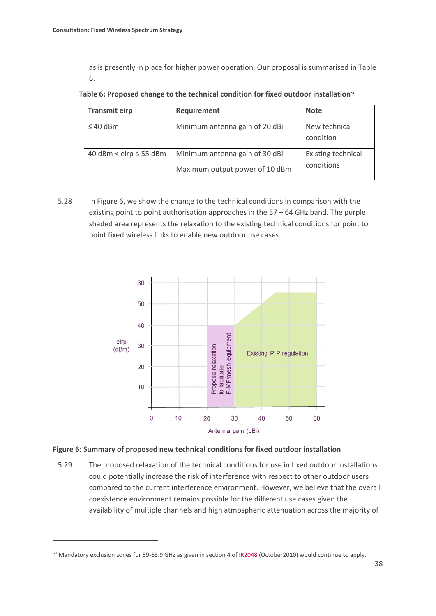as is presently in place for higher power operation. Our proposal is summarised in Table 6.

| <b>Transmit eirp</b>        | Requirement                                                      | <b>Note</b>                             |
|-----------------------------|------------------------------------------------------------------|-----------------------------------------|
| $\leq 40$ dBm               | Minimum antenna gain of 20 dBi                                   | New technical<br>condition              |
| 40 dBm < eirp $\leq$ 55 dBm | Minimum antenna gain of 30 dBi<br>Maximum output power of 10 dBm | <b>Existing technical</b><br>conditions |

5.28 In Figure 6, we show the change to the technical conditions in comparison with the existing point to point authorisation approaches in the 57 – 64 GHz band. The purple shaded area represents the relaxation to the existing technical conditions for point to point fixed wireless links to enable new outdoor use cases.



### **Figure 6: Summary of proposed new technical conditions for fixed outdoor installation**

5.29 The proposed relaxation of the technical conditions for use in fixed outdoor installations could potentially increase the risk of interference with respect to other outdoor users compared to the current interference environment. However, we believe that the overall coexistence environment remains possible for the different use cases given the availability of multiple channels and high atmospheric attenuation across the majority of

**.** 

<span id="page-40-0"></span><sup>&</sup>lt;sup>50</sup> Mandatory exclusion zones for 59-63.9 GHz as given in section 4 o[f IR2048](https://ofcomuk-my.sharepoint.com/personal/mrinal_patel_ofcom_org_uk/_layouts/15/WopiFrame.aspx?sourcedoc=%7BABFF415E-9303-4D05-AAC8-CDF16032EE2B%7D&file=FWSS%20DRAFT%20Consultation_working%20v%204.docx&action=default) (October2010) would continue to apply.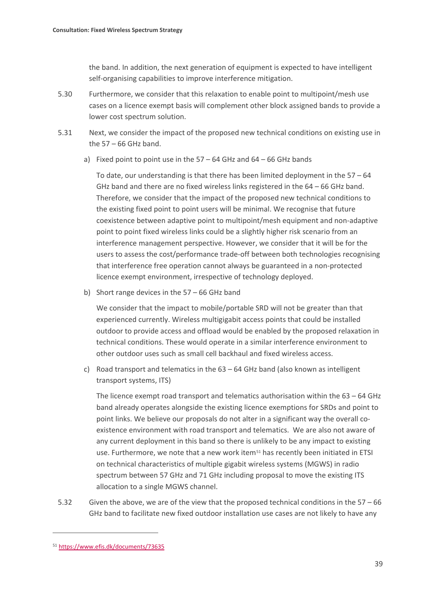the band. In addition, the next generation of equipment is expected to have intelligent self-organising capabilities to improve interference mitigation.

- 5.30 Furthermore, we consider that this relaxation to enable point to multipoint/mesh use cases on a licence exempt basis will complement other block assigned bands to provide a lower cost spectrum solution.
- 5.31 Next, we consider the impact of the proposed new technical conditions on existing use in the  $57 - 66$  GHz band.
	- a) Fixed point to point use in the  $57 64$  GHz and  $64 66$  GHz bands

To date, our understanding is that there has been limited deployment in the  $57 - 64$ GHz band and there are no fixed wireless links registered in the  $64 - 66$  GHz band. Therefore, we consider that the impact of the proposed new technical conditions to the existing fixed point to point users will be minimal. We recognise that future coexistence between adaptive point to multipoint/mesh equipment and non-adaptive point to point fixed wireless links could be a slightly higher risk scenario from an interference management perspective. However, we consider that it will be for the users to assess the cost/performance trade-off between both technologies recognising that interference free operation cannot always be guaranteed in a non-protected licence exempt environment, irrespective of technology deployed.

b) Short range devices in the 57 – 66 GHz band

We consider that the impact to mobile/portable SRD will not be greater than that experienced currently. Wireless multigigabit access points that could be installed outdoor to provide access and offload would be enabled by the proposed relaxation in technical conditions. These would operate in a similar interference environment to other outdoor uses such as small cell backhaul and fixed wireless access.

c) Road transport and telematics in the  $63 - 64$  GHz band (also known as intelligent transport systems, ITS)

The licence exempt road transport and telematics authorisation within the  $63 - 64$  GHz band already operates alongside the existing licence exemptions for SRDs and point to point links. We believe our proposals do not alter in a significant way the overall coexistence environment with road transport and telematics. We are also not aware of any current deployment in this band so there is unlikely to be any impact to existing use. Furthermore, we note that a new work item<sup>[51](#page-41-0)</sup> has recently been initiated in ETSI on technical characteristics of multiple gigabit wireless systems (MGWS) in radio spectrum between 57 GHz and 71 GHz including proposal to move the existing ITS allocation to a single MGWS channel.

5.32 Given the above, we are of the view that the proposed technical conditions in the 57 – 66 GHz band to facilitate new fixed outdoor installation use cases are not likely to have any

<span id="page-41-0"></span><sup>51</sup> <https://www.efis.dk/documents/73635>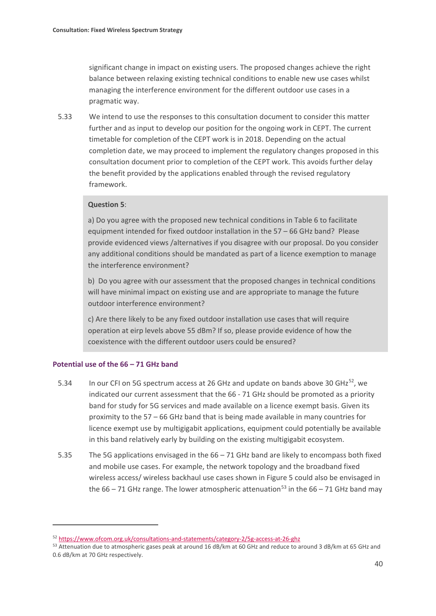significant change in impact on existing users. The proposed changes achieve the right balance between relaxing existing technical conditions to enable new use cases whilst managing the interference environment for the different outdoor use cases in a pragmatic way.

5.33 We intend to use the responses to this consultation document to consider this matter further and as input to develop our position for the ongoing work in CEPT. The current timetable for completion of the CEPT work is in 2018. Depending on the actual completion date, we may proceed to implement the regulatory changes proposed in this consultation document prior to completion of the CEPT work. This avoids further delay the benefit provided by the applications enabled through the revised regulatory framework.

### **Question 5**:

a) Do you agree with the proposed new technical conditions in Table 6 to facilitate equipment intended for fixed outdoor installation in the 57 – 66 GHz band? Please provide evidenced views /alternatives if you disagree with our proposal. Do you consider any additional conditions should be mandated as part of a licence exemption to manage the interference environment?

b) Do you agree with our assessment that the proposed changes in technical conditions will have minimal impact on existing use and are appropriate to manage the future outdoor interference environment?

c) Are there likely to be any fixed outdoor installation use cases that will require operation at eirp levels above 55 dBm? If so, please provide evidence of how the coexistence with the different outdoor users could be ensured?

#### **Potential use of the 66 – 71 GHz band**

.<br>-

- 5.34 In our CFI on 5G spectrum access at 26 GHz and update on bands above 30 GHz<sup>52</sup>, we indicated our current assessment that the 66 - 71 GHz should be promoted as a priority band for study for 5G services and made available on a licence exempt basis. Given its proximity to the 57 – 66 GHz band that is being made available in many countries for licence exempt use by multigigabit applications, equipment could potentially be available in this band relatively early by building on the existing multigigabit ecosystem.
- 5.35 The 5G applications envisaged in the 66 71 GHz band are likely to encompass both fixed and mobile use cases. For example, the network topology and the broadband fixed wireless access/ wireless backhaul use cases shown in Figure 5 could also be envisaged in the  $66 - 71$  GHz range. The lower atmospheric attenuation<sup>[53](#page-42-1)</sup> in the  $66 - 71$  GHz band may

<span id="page-42-0"></span><sup>52</sup> https://www.ofcom.org.uk/consultations-and-statements/category-2/5g-access-at-26-ghz

<span id="page-42-1"></span><sup>53</sup> Attenuation due to atmospheric gases peak at around 16 dB/km at 60 GHz and reduce to around 3 dB/km at 65 GHz and 0.6 dB/km at 70 GHz respectively.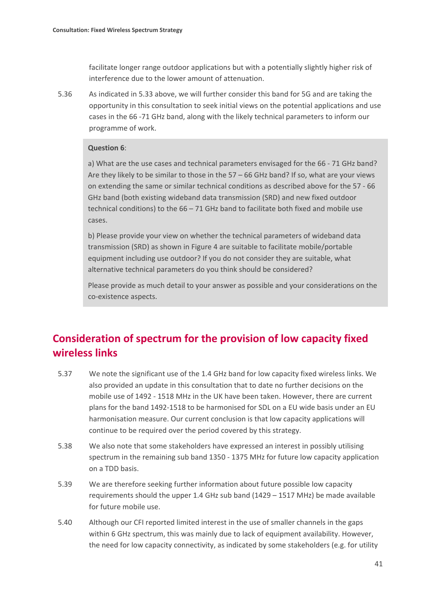facilitate longer range outdoor applications but with a potentially slightly higher risk of interference due to the lower amount of attenuation.

5.36 As indicated in 5.33 above, we will further consider this band for 5G and are taking the opportunity in this consultation to seek initial views on the potential applications and use cases in the 66 -71 GHz band, along with the likely technical parameters to inform our programme of work.

#### **Question 6**:

a) What are the use cases and technical parameters envisaged for the 66 - 71 GHz band? Are they likely to be similar to those in the 57 – 66 GHz band? If so, what are your views on extending the same or similar technical conditions as described above for the 57 - 66 GHz band (both existing wideband data transmission (SRD) and new fixed outdoor technical conditions) to the 66 – 71 GHz band to facilitate both fixed and mobile use cases.

b) Please provide your view on whether the technical parameters of wideband data transmission (SRD) as shown in Figure 4 are suitable to facilitate mobile/portable equipment including use outdoor? If you do not consider they are suitable, what alternative technical parameters do you think should be considered?

Please provide as much detail to your answer as possible and your considerations on the co-existence aspects.

# **Consideration of spectrum for the provision of low capacity fixed wireless links**

- 5.37 We note the significant use of the 1.4 GHz band for low capacity fixed wireless links. We also provided an update in this consultation that to date no further decisions on the mobile use of 1492 - 1518 MHz in the UK have been taken. However, there are current plans for the band 1492-1518 to be harmonised for SDL on a EU wide basis under an EU harmonisation measure. Our current conclusion is that low capacity applications will continue to be required over the period covered by this strategy.
- 5.38 We also note that some stakeholders have expressed an interest in possibly utilising spectrum in the remaining sub band 1350 - 1375 MHz for future low capacity application on a TDD basis.
- 5.39 We are therefore seeking further information about future possible low capacity requirements should the upper 1.4 GHz sub band (1429 – 1517 MHz) be made available for future mobile use.
- 5.40 Although our CFI reported limited interest in the use of smaller channels in the gaps within 6 GHz spectrum, this was mainly due to lack of equipment availability. However, the need for low capacity connectivity, as indicated by some stakeholders (e.g. for utility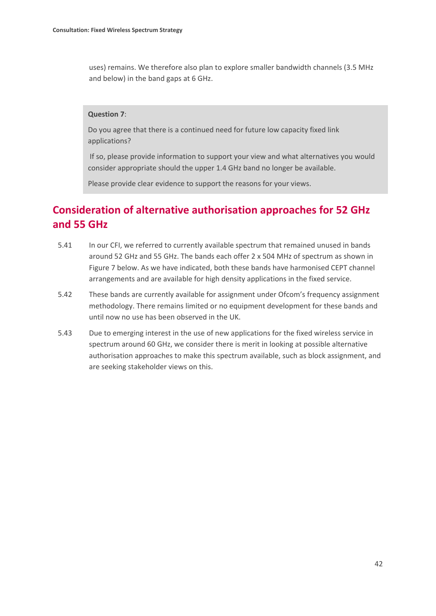uses) remains. We therefore also plan to explore smaller bandwidth channels (3.5 MHz and below) in the band gaps at 6 GHz.

#### **Question 7**:

Do you agree that there is a continued need for future low capacity fixed link applications?

If so, please provide information to support your view and what alternatives you would consider appropriate should the upper 1.4 GHz band no longer be available.

Please provide clear evidence to support the reasons for your views.

# **Consideration of alternative authorisation approaches for 52 GHz and 55 GHz**

- 5.41 In our CFI, we referred to currently available spectrum that remained unused in bands around 52 GHz and 55 GHz. The bands each offer 2 x 504 MHz of spectrum as shown in Figure 7 below. As we have indicated, both these bands have harmonised CEPT channel arrangements and are available for high density applications in the fixed service.
- 5.42 These bands are currently available for assignment under Ofcom's frequency assignment methodology. There remains limited or no equipment development for these bands and until now no use has been observed in the UK.
- 5.43 Due to emerging interest in the use of new applications for the fixed wireless service in spectrum around 60 GHz, we consider there is merit in looking at possible alternative authorisation approaches to make this spectrum available, such as block assignment, and are seeking stakeholder views on this.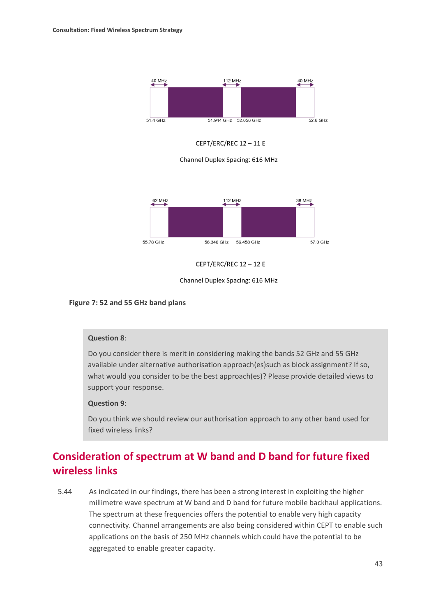

CEPT/ERC/REC 12-11 E

Channel Duplex Spacing: 616 MHz



**CEPT/ERC/REC 12-12E** 



#### **Figure 7: 52 and 55 GHz band plans**

#### **Question 8**:

Do you consider there is merit in considering making the bands 52 GHz and 55 GHz available under alternative authorisation approach(es)such as block assignment? If so, what would you consider to be the best approach(es)? Please provide detailed views to support your response.

#### **Question 9**:

Do you think we should review our authorisation approach to any other band used for fixed wireless links?

# **Consideration of spectrum at W band and D band for future fixed wireless links**

5.44 As indicated in our findings, there has been a strong interest in exploiting the higher millimetre wave spectrum at W band and D band for future mobile backhaul applications. The spectrum at these frequencies offers the potential to enable very high capacity connectivity. Channel arrangements are also being considered within CEPT to enable such applications on the basis of 250 MHz channels which could have the potential to be aggregated to enable greater capacity.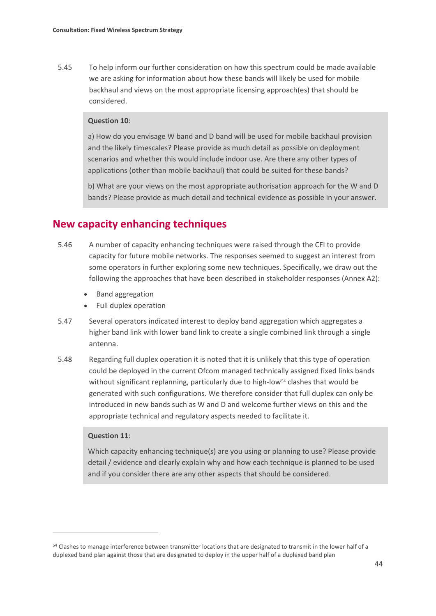5.45 To help inform our further consideration on how this spectrum could be made available we are asking for information about how these bands will likely be used for mobile backhaul and views on the most appropriate licensing approach(es) that should be considered.

#### **Question 10**:

a) How do you envisage W band and D band will be used for mobile backhaul provision and the likely timescales? Please provide as much detail as possible on deployment scenarios and whether this would include indoor use. Are there any other types of applications (other than mobile backhaul) that could be suited for these bands?

b) What are your views on the most appropriate authorisation approach for the W and D bands? Please provide as much detail and technical evidence as possible in your answer.

## **New capacity enhancing techniques**

- 5.46 A number of capacity enhancing techniques were raised through the CFI to provide capacity for future mobile networks. The responses seemed to suggest an interest from some operators in further exploring some new techniques. Specifically, we draw out the following the approaches that have been described in stakeholder responses (Annex A2):
	- Band aggregation
	- Full duplex operation
- 5.47 Several operators indicated interest to deploy band aggregation which aggregates a higher band link with lower band link to create a single combined link through a single antenna.
- 5.48 Regarding full duplex operation it is noted that it is unlikely that this type of operation could be deployed in the current Ofcom managed technically assigned fixed links bands without significant replanning, particularly due to high-low<sup>[54](#page-46-0)</sup> clashes that would be generated with such configurations. We therefore consider that full duplex can only be introduced in new bands such as W and D and welcome further views on this and the appropriate technical and regulatory aspects needed to facilitate it.

### **Question 11**:

 $\overline{a}$ 

Which capacity enhancing technique(s) are you using or planning to use? Please provide detail / evidence and clearly explain why and how each technique is planned to be used and if you consider there are any other aspects that should be considered.

<span id="page-46-0"></span><sup>54</sup> Clashes to manage interference between transmitter locations that are designated to transmit in the lower half of a duplexed band plan against those that are designated to deploy in the upper half of a duplexed band plan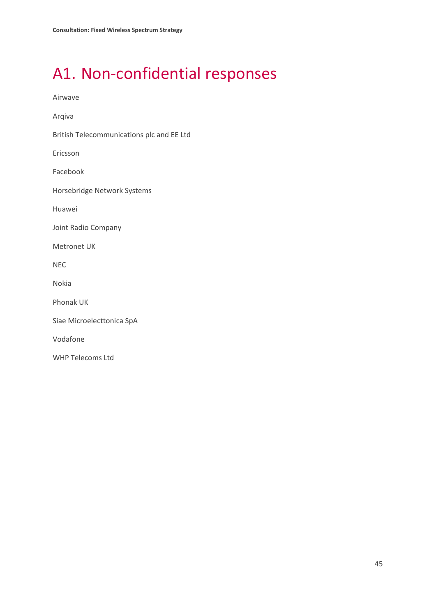# <span id="page-47-0"></span>A1. Non-confidential responses

Airwave

Arqiva

British Telecommunications plc and EE Ltd

Ericsson

Facebook

Horsebridge Network Systems

Huawei

Joint Radio Company

Metronet UK

NEC

Nokia

Phonak UK

Siae Microelecttonica SpA

Vodafone

WHP Telecoms Ltd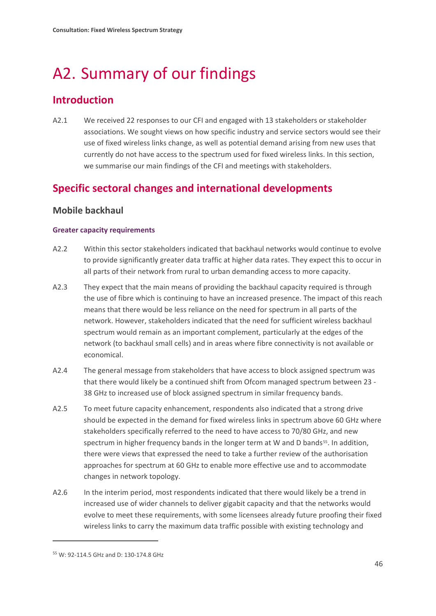# <span id="page-48-0"></span>A2. Summary of our findings

# **Introduction**

A2.1 We received 22 responses to our CFI and engaged with 13 stakeholders or stakeholder associations. We sought views on how specific industry and service sectors would see their use of fixed wireless links change, as well as potential demand arising from new uses that currently do not have access to the spectrum used for fixed wireless links. In this section, we summarise our main findings of the CFI and meetings with stakeholders.

# **Specific sectoral changes and international developments**

## **Mobile backhaul**

## **Greater capacity requirements**

- A2.2 Within this sector stakeholders indicated that backhaul networks would continue to evolve to provide significantly greater data traffic at higher data rates. They expect this to occur in all parts of their network from rural to urban demanding access to more capacity.
- A2.3 They expect that the main means of providing the backhaul capacity required is through the use of fibre which is continuing to have an increased presence. The impact of this reach means that there would be less reliance on the need for spectrum in all parts of the network. However, stakeholders indicated that the need for sufficient wireless backhaul spectrum would remain as an important complement, particularly at the edges of the network (to backhaul small cells) and in areas where fibre connectivity is not available or economical.
- A2.4 The general message from stakeholders that have access to block assigned spectrum was that there would likely be a continued shift from Ofcom managed spectrum between 23 - 38 GHz to increased use of block assigned spectrum in similar frequency bands.
- A2.5 To meet future capacity enhancement, respondents also indicated that a strong drive should be expected in the demand for fixed wireless links in spectrum above 60 GHz where stakeholders specifically referred to the need to have access to 70/80 GHz, and new spectrum in higher frequency bands in the longer term at W and D bands<sup>[55](#page-48-1)</sup>. In addition, there were views that expressed the need to take a further review of the authorisation approaches for spectrum at 60 GHz to enable more effective use and to accommodate changes in network topology.
- A2.6 In the interim period, most respondents indicated that there would likely be a trend in increased use of wider channels to deliver gigabit capacity and that the networks would evolve to meet these requirements, with some licensees already future proofing their fixed wireless links to carry the maximum data traffic possible with existing technology and

**.** 

<span id="page-48-1"></span><sup>55</sup> W: 92-114.5 GHz and D: 130-174.8 GHz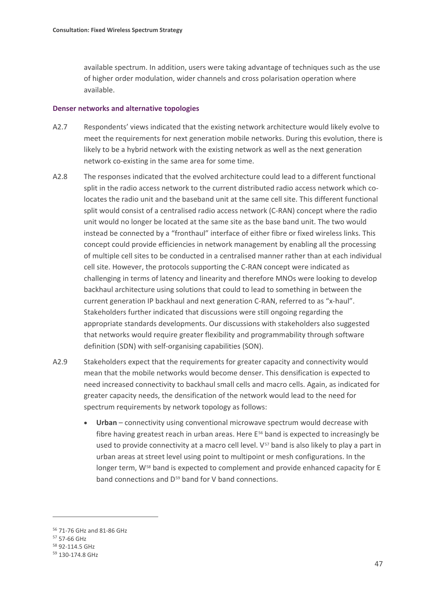available spectrum. In addition, users were taking advantage of techniques such as the use of higher order modulation, wider channels and cross polarisation operation where available.

#### **Denser networks and alternative topologies**

- A2.7 Respondents' views indicated that the existing network architecture would likely evolve to meet the requirements for next generation mobile networks. During this evolution, there is likely to be a hybrid network with the existing network as well as the next generation network co-existing in the same area for some time.
- A2.8 The responses indicated that the evolved architecture could lead to a different functional split in the radio access network to the current distributed radio access network which colocates the radio unit and the baseband unit at the same cell site. This different functional split would consist of a centralised radio access network (C-RAN) concept where the radio unit would no longer be located at the same site as the base band unit. The two would instead be connected by a "fronthaul" interface of either fibre or fixed wireless links. This concept could provide efficiencies in network management by enabling all the processing of multiple cell sites to be conducted in a centralised manner rather than at each individual cell site. However, the protocols supporting the C-RAN concept were indicated as challenging in terms of latency and linearity and therefore MNOs were looking to develop backhaul architecture using solutions that could to lead to something in between the current generation IP backhaul and next generation C-RAN, referred to as "x-haul". Stakeholders further indicated that discussions were still ongoing regarding the appropriate standards developments. Our discussions with stakeholders also suggested that networks would require greater flexibility and programmability through software definition (SDN) with self-organising capabilities (SON).
- A2.9 Stakeholders expect that the requirements for greater capacity and connectivity would mean that the mobile networks would become denser. This densification is expected to need increased connectivity to backhaul small cells and macro cells. Again, as indicated for greater capacity needs, the densification of the network would lead to the need for spectrum requirements by network topology as follows:
	- **Urban** connectivity using conventional microwave spectrum would decrease with fibre having greatest reach in urban areas. Here  $E^{56}$  $E^{56}$  $E^{56}$  band is expected to increasingly be used to provide connectivity at a macro cell level.  $V^{57}$  $V^{57}$  $V^{57}$  band is also likely to play a part in urban areas at street level using point to multipoint or mesh configurations. In the longer term,  $W^{58}$  $W^{58}$  $W^{58}$  band is expected to complement and provide enhanced capacity for E band connections and D<sup>[59](#page-49-3)</sup> band for V band connections.

**.** 

<span id="page-49-0"></span><sup>56</sup> 71-76 GHz and 81-86 GHz

<span id="page-49-1"></span><sup>57</sup> 57-66 GHz

<span id="page-49-2"></span><sup>58</sup> 92-114.5 GHz

<span id="page-49-3"></span><sup>59</sup> 130-174.8 GHz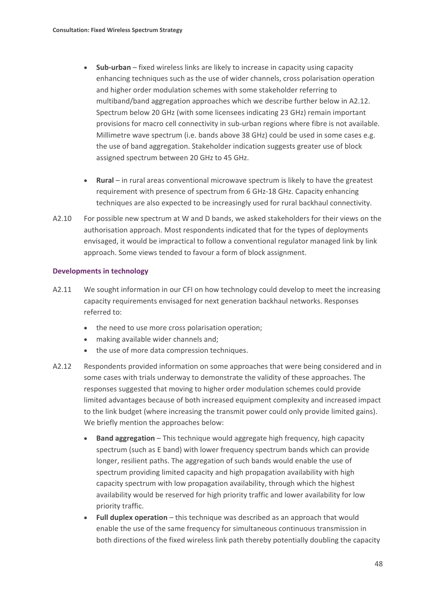- **Sub-urban** fixed wireless links are likely to increase in capacity using capacity enhancing techniques such as the use of wider channels, cross polarisation operation and higher order modulation schemes with some stakeholder referring to multiband/band aggregation approaches which we describe further below in A2.12. Spectrum below 20 GHz (with some licensees indicating 23 GHz) remain important provisions for macro cell connectivity in sub-urban regions where fibre is not available. Millimetre wave spectrum (i.e. bands above 38 GHz) could be used in some cases e.g. the use of band aggregation. Stakeholder indication suggests greater use of block assigned spectrum between 20 GHz to 45 GHz.
- **Rural** in rural areas conventional microwave spectrum is likely to have the greatest requirement with presence of spectrum from 6 GHz-18 GHz. Capacity enhancing techniques are also expected to be increasingly used for rural backhaul connectivity.
- A2.10 For possible new spectrum at W and D bands, we asked stakeholders for their views on the authorisation approach. Most respondents indicated that for the types of deployments envisaged, it would be impractical to follow a conventional regulator managed link by link approach. Some views tended to favour a form of block assignment.

#### **Developments in technology**

- A2.11 We sought information in our CFI on how technology could develop to meet the increasing capacity requirements envisaged for next generation backhaul networks. Responses referred to:
	- the need to use more cross polarisation operation;
	- making available wider channels and;
	- the use of more data compression techniques.
- A2.12 Respondents provided information on some approaches that were being considered and in some cases with trials underway to demonstrate the validity of these approaches. The responses suggested that moving to higher order modulation schemes could provide limited advantages because of both increased equipment complexity and increased impact to the link budget (where increasing the transmit power could only provide limited gains). We briefly mention the approaches below:
	- **Band aggregation** This technique would aggregate high frequency, high capacity spectrum (such as E band) with lower frequency spectrum bands which can provide longer, resilient paths. The aggregation of such bands would enable the use of spectrum providing limited capacity and high propagation availability with high capacity spectrum with low propagation availability, through which the highest availability would be reserved for high priority traffic and lower availability for low priority traffic.
	- **Full duplex operation** this technique was described as an approach that would enable the use of the same frequency for simultaneous continuous transmission in both directions of the fixed wireless link path thereby potentially doubling the capacity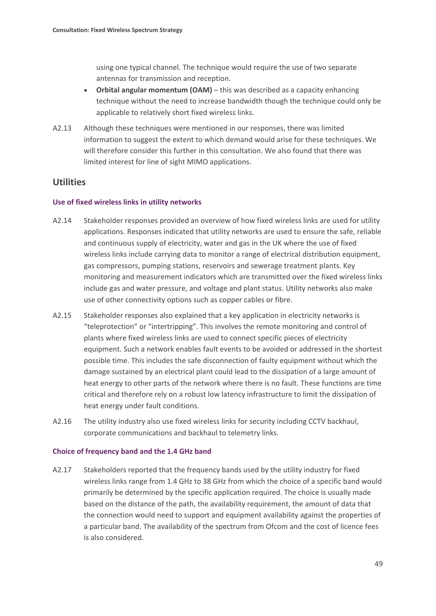using one typical channel. The technique would require the use of two separate antennas for transmission and reception.

- **Orbital angular momentum (OAM)** this was described as a capacity enhancing technique without the need to increase bandwidth though the technique could only be applicable to relatively short fixed wireless links.
- A2.13 Although these techniques were mentioned in our responses, there was limited information to suggest the extent to which demand would arise for these techniques. We will therefore consider this further in this consultation. We also found that there was limited interest for line of sight MIMO applications.

## **Utilities**

#### **Use of fixed wireless links in utility networks**

- A2.14 Stakeholder responses provided an overview of how fixed wireless links are used for utility applications. Responses indicated that utility networks are used to ensure the safe, reliable and continuous supply of electricity, water and gas in the UK where the use of fixed wireless links include carrying data to monitor a range of electrical distribution equipment, gas compressors, pumping stations, reservoirs and sewerage treatment plants. Key monitoring and measurement indicators which are transmitted over the fixed wireless links include gas and water pressure, and voltage and plant status. Utility networks also make use of other connectivity options such as copper cables or fibre.
- A2.15 Stakeholder responses also explained that a key application in electricity networks is "teleprotection" or "intertripping". This involves the remote monitoring and control of plants where fixed wireless links are used to connect specific pieces of electricity equipment. Such a network enables fault events to be avoided or addressed in the shortest possible time. This includes the safe disconnection of faulty equipment without which the damage sustained by an electrical plant could lead to the dissipation of a large amount of heat energy to other parts of the network where there is no fault. These functions are time critical and therefore rely on a robust low latency infrastructure to limit the dissipation of heat energy under fault conditions.
- A2.16 The utility industry also use fixed wireless links for security including CCTV backhaul, corporate communications and backhaul to telemetry links.

#### **Choice of frequency band and the 1.4 GHz band**

A2.17 Stakeholders reported that the frequency bands used by the utility industry for fixed wireless links range from 1.4 GHz to 38 GHz from which the choice of a specific band would primarily be determined by the specific application required. The choice is usually made based on the distance of the path, the availability requirement, the amount of data that the connection would need to support and equipment availability against the properties of a particular band. The availability of the spectrum from Ofcom and the cost of licence fees is also considered.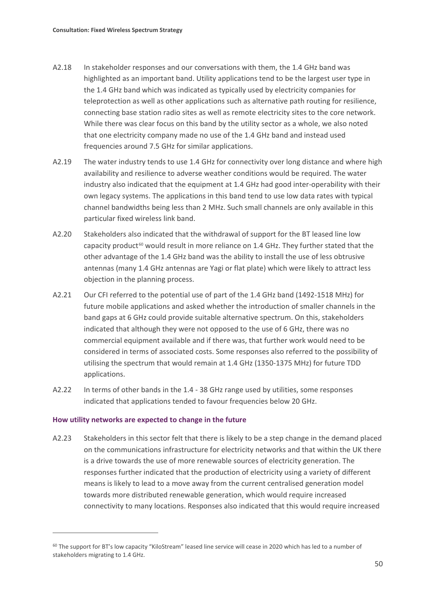- A2.18 In stakeholder responses and our conversations with them, the 1.4 GHz band was highlighted as an important band. Utility applications tend to be the largest user type in the 1.4 GHz band which was indicated as typically used by electricity companies for teleprotection as well as other applications such as alternative path routing for resilience, connecting base station radio sites as well as remote electricity sites to the core network. While there was clear focus on this band by the utility sector as a whole, we also noted that one electricity company made no use of the 1.4 GHz band and instead used frequencies around 7.5 GHz for similar applications.
- A2.19 The water industry tends to use 1.4 GHz for connectivity over long distance and where high availability and resilience to adverse weather conditions would be required. The water industry also indicated that the equipment at 1.4 GHz had good inter-operability with their own legacy systems. The applications in this band tend to use low data rates with typical channel bandwidths being less than 2 MHz. Such small channels are only available in this particular fixed wireless link band.
- A2.20 Stakeholders also indicated that the withdrawal of support for the BT leased line low capacity product<sup>[60](#page-52-0)</sup> would result in more reliance on 1.4 GHz. They further stated that the other advantage of the 1.4 GHz band was the ability to install the use of less obtrusive antennas (many 1.4 GHz antennas are Yagi or flat plate) which were likely to attract less objection in the planning process.
- A2.21 Our CFI referred to the potential use of part of the 1.4 GHz band (1492-1518 MHz) for future mobile applications and asked whether the introduction of smaller channels in the band gaps at 6 GHz could provide suitable alternative spectrum. On this, stakeholders indicated that although they were not opposed to the use of 6 GHz, there was no commercial equipment available and if there was, that further work would need to be considered in terms of associated costs. Some responses also referred to the possibility of utilising the spectrum that would remain at 1.4 GHz (1350-1375 MHz) for future TDD applications.
- A2.22 In terms of other bands in the 1.4 38 GHz range used by utilities, some responses indicated that applications tended to favour frequencies below 20 GHz.

#### **How utility networks are expected to change in the future**

 $\overline{a}$ 

A2.23 Stakeholders in this sector felt that there is likely to be a step change in the demand placed on the communications infrastructure for electricity networks and that within the UK there is a drive towards the use of more renewable sources of electricity generation. The responses further indicated that the production of electricity using a variety of different means is likely to lead to a move away from the current centralised generation model towards more distributed renewable generation, which would require increased connectivity to many locations. Responses also indicated that this would require increased

<span id="page-52-0"></span> $60$  The support for BT's low capacity "KiloStream" leased line service will cease in 2020 which has led to a number of stakeholders migrating to 1.4 GHz.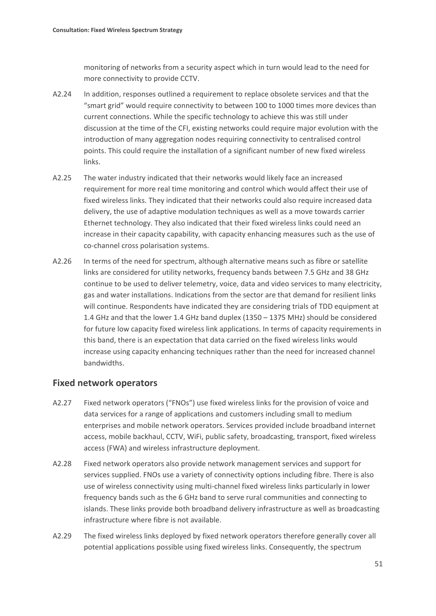monitoring of networks from a security aspect which in turn would lead to the need for more connectivity to provide CCTV.

- A2.24 In addition, responses outlined a requirement to replace obsolete services and that the "smart grid" would require connectivity to between 100 to 1000 times more devices than current connections. While the specific technology to achieve this was still under discussion at the time of the CFI, existing networks could require major evolution with the introduction of many aggregation nodes requiring connectivity to centralised control points. This could require the installation of a significant number of new fixed wireless links.
- A2.25 The water industry indicated that their networks would likely face an increased requirement for more real time monitoring and control which would affect their use of fixed wireless links. They indicated that their networks could also require increased data delivery, the use of adaptive modulation techniques as well as a move towards carrier Ethernet technology. They also indicated that their fixed wireless links could need an increase in their capacity capability, with capacity enhancing measures such as the use of co-channel cross polarisation systems.
- A2.26 In terms of the need for spectrum, although alternative means such as fibre or satellite links are considered for utility networks, frequency bands between 7.5 GHz and 38 GHz continue to be used to deliver telemetry, voice, data and video services to many electricity, gas and water installations. Indications from the sector are that demand for resilient links will continue. Respondents have indicated they are considering trials of TDD equipment at 1.4 GHz and that the lower 1.4 GHz band duplex (1350 – 1375 MHz) should be considered for future low capacity fixed wireless link applications. In terms of capacity requirements in this band, there is an expectation that data carried on the fixed wireless links would increase using capacity enhancing techniques rather than the need for increased channel bandwidths.

## **Fixed network operators**

- A2.27 Fixed network operators ("FNOs") use fixed wireless links for the provision of voice and data services for a range of applications and customers including small to medium enterprises and mobile network operators. Services provided include broadband internet access, mobile backhaul, CCTV, WiFi, public safety, broadcasting, transport, fixed wireless access (FWA) and wireless infrastructure deployment.
- A2.28 Fixed network operators also provide network management services and support for services supplied. FNOs use a variety of connectivity options including fibre. There is also use of wireless connectivity using multi-channel fixed wireless links particularly in lower frequency bands such as the 6 GHz band to serve rural communities and connecting to islands. These links provide both broadband delivery infrastructure as well as broadcasting infrastructure where fibre is not available.
- A2.29 The fixed wireless links deployed by fixed network operators therefore generally cover all potential applications possible using fixed wireless links. Consequently, the spectrum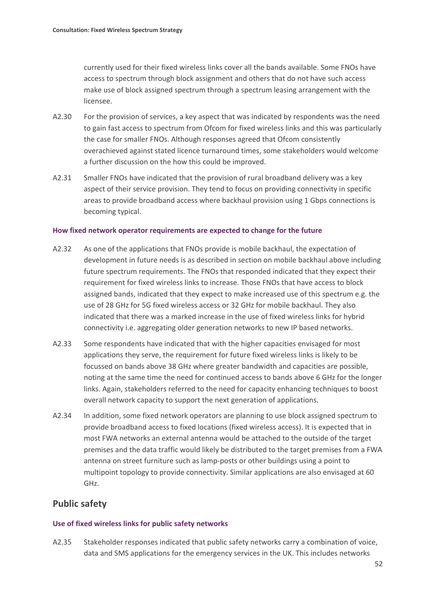currently used for their fixed wireless links cover all the bands available. Some FNOs have access to spectrum through block assignment and others that do not have such access make use of block assigned spectrum through a spectrum leasing arrangement with the licensee.

- A2.30 For the provision of services, a key aspect that was indicated by respondents was the need to gain fast access to spectrum from Ofcom for fixed wireless links and this was particularly the case for smaller FNOs. Although responses agreed that Ofcom consistently overachieved against stated licence turnaround times, some stakeholders would welcome a further discussion on the how this could be improved.
- A2.31 Smaller FNOs have indicated that the provision of rural broadband delivery was a key aspect of their service provision. They tend to focus on providing connectivity in specific areas to provide broadband access where backhaul provision using 1 Gbps connections is becoming typical.

#### **How fixed network operator requirements are expected to change for the future**

- A2.32 As one of the applications that FNOs provide is mobile backhaul, the expectation of development in future needs is as described in section on mobile backhaul above including future spectrum requirements. The FNOs that responded indicated that they expect their requirement for fixed wireless links to increase. Those FNOs that have access to block assigned bands, indicated that they expect to make increased use of this spectrum e.g. the use of 28 GHz for 5G fixed wireless access or 32 GHz for mobile backhaul. They also indicated that there was a marked increase in the use of fixed wireless links for hybrid connectivity i.e. aggregating older generation networks to new IP based networks.
- A2.33 Some respondents have indicated that with the higher capacities envisaged for most applications they serve, the requirement for future fixed wireless links is likely to be focussed on bands above 38 GHz where greater bandwidth and capacities are possible, noting at the same time the need for continued access to bands above 6 GHz for the longer links. Again, stakeholders referred to the need for capacity enhancing techniques to boost overall network capacity to support the next generation of applications.
- A2.34 In addition, some fixed network operators are planning to use block assigned spectrum to provide broadband access to fixed locations (fixed wireless access). It is expected that in most FWA networks an external antenna would be attached to the outside of the target premises and the data traffic would likely be distributed to the target premises from a FWA antenna on street furniture such as lamp-posts or other buildings using a point to multipoint topology to provide connectivity. Similar applications are also envisaged at 60 GHz.

## **Public safety**

#### **Use of fixed wireless links for public safety networks**

A2.35 Stakeholder responses indicated that public safety networks carry a combination of voice, data and SMS applications for the emergency services in the UK. This includes networks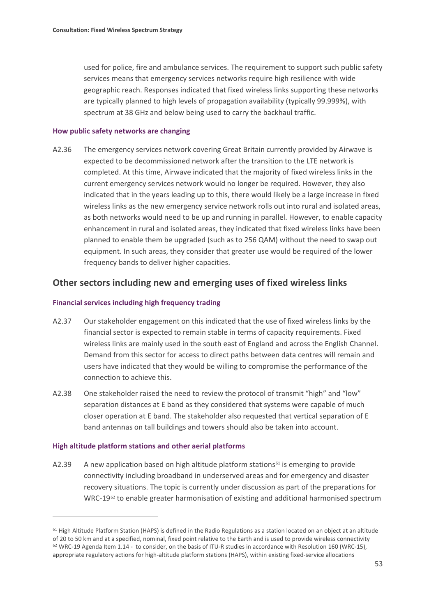used for police, fire and ambulance services. The requirement to support such public safety services means that emergency services networks require high resilience with wide geographic reach. Responses indicated that fixed wireless links supporting these networks are typically planned to high levels of propagation availability (typically 99.999%), with spectrum at 38 GHz and below being used to carry the backhaul traffic.

#### **How public safety networks are changing**

A2.36 The emergency services network covering Great Britain currently provided by Airwave is expected to be decommissioned network after the transition to the LTE network is completed. At this time, Airwave indicated that the majority of fixed wireless links in the current emergency services network would no longer be required. However, they also indicated that in the years leading up to this, there would likely be a large increase in fixed wireless links as the new emergency service network rolls out into rural and isolated areas, as both networks would need to be up and running in parallel. However, to enable capacity enhancement in rural and isolated areas, they indicated that fixed wireless links have been planned to enable them be upgraded (such as to 256 QAM) without the need to swap out equipment. In such areas, they consider that greater use would be required of the lower frequency bands to deliver higher capacities.

## **Other sectors including new and emerging uses of fixed wireless links**

### **Financial services including high frequency trading**

- A2.37 Our stakeholder engagement on this indicated that the use of fixed wireless links by the financial sector is expected to remain stable in terms of capacity requirements. Fixed wireless links are mainly used in the south east of England and across the English Channel. Demand from this sector for access to direct paths between data centres will remain and users have indicated that they would be willing to compromise the performance of the connection to achieve this.
- A2.38 One stakeholder raised the need to review the protocol of transmit "high" and "low" separation distances at E band as they considered that systems were capable of much closer operation at E band. The stakeholder also requested that vertical separation of E band antennas on tall buildings and towers should also be taken into account.

#### **High altitude platform stations and other aerial platforms**

**.** 

A2.39 A new application based on high altitude platform stations $61$  is emerging to provide connectivity including broadband in underserved areas and for emergency and disaster recovery situations. The topic is currently under discussion as part of the preparations for WRC-19 $62$  to enable greater harmonisation of existing and additional harmonised spectrum

<span id="page-55-1"></span><span id="page-55-0"></span> $61$  High Altitude Platform Station (HAPS) is defined in the Radio Regulations as a station located on an object at an altitude of 20 to 50 km and at a specified, nominal, fixed point relative to the Earth and is used to provide wireless connectivity  $62$  WRC-19 Agenda Item 1.14 - to consider, on the basis of ITU-R studies in accordance wit[h Resolution 160 \(WRC-15\),](https://ofcomuk-my.sharepoint.com/personal/mrinal_patel_ofcom_org_uk/Documents/FWSS/Consultation%20Sept%202017/FWSS%20DRAFT%20Consultation_working%20v%202.0.docx#RES_160) appropriate regulatory actions for high-altitude platform stations (HAPS), within existing fixed-service allocations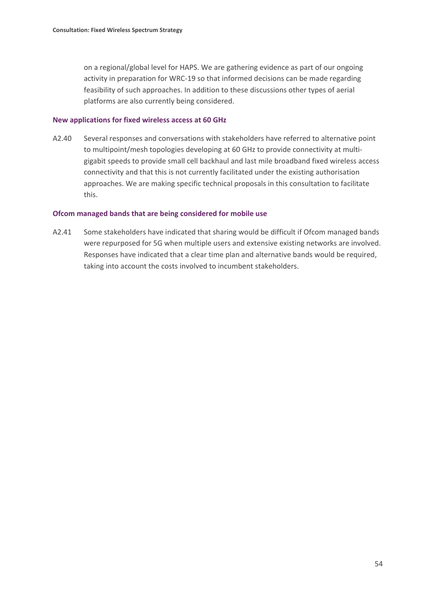on a regional/global level for HAPS. We are gathering evidence as part of our ongoing activity in preparation for WRC-19 so that informed decisions can be made regarding feasibility of such approaches. In addition to these discussions other types of aerial platforms are also currently being considered.

#### **New applications for fixed wireless access at 60 GHz**

A2.40 Several responses and conversations with stakeholders have referred to alternative point to multipoint/mesh topologies developing at 60 GHz to provide connectivity at multigigabit speeds to provide small cell backhaul and last mile broadband fixed wireless access connectivity and that this is not currently facilitated under the existing authorisation approaches. We are making specific technical proposals in this consultation to facilitate this.

#### **Ofcom managed bands that are being considered for mobile use**

A2.41 Some stakeholders have indicated that sharing would be difficult if Ofcom managed bands were repurposed for 5G when multiple users and extensive existing networks are involved. Responses have indicated that a clear time plan and alternative bands would be required, taking into account the costs involved to incumbent stakeholders.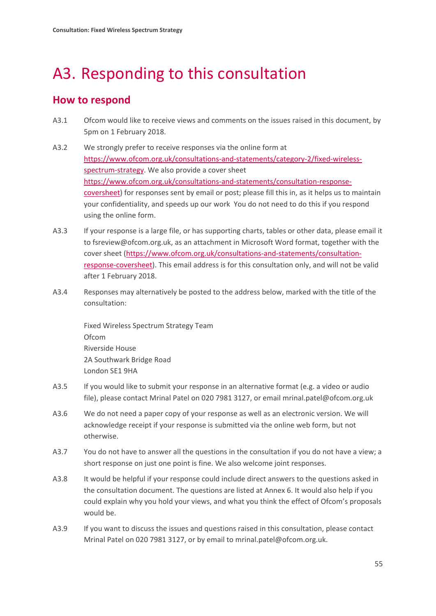# <span id="page-57-0"></span>A3. Responding to this consultation

# **How to respond**

- A3.1 Ofcom would like to receive views and comments on the issues raised in this document, by 5pm on 1 February 2018.
- A3.2 We strongly prefer to receive responses via the online form at [https://www.ofcom.org.uk/consultations-and-statements/category-2/fixed-wireless](https://www.ofcom.org.uk/consultations-and-statements/category-2/fixed-wireless-spectrum-strategy)[spectrum-strategy.](https://www.ofcom.org.uk/consultations-and-statements/category-2/fixed-wireless-spectrum-strategy) We also provide a cover sheet [https://www.ofcom.org.uk/consultations-and-statements/consultation-response](https://www.ofcom.org.uk/consultations-and-statements/consultation-response-coversheet)[coversheet\)](https://www.ofcom.org.uk/consultations-and-statements/consultation-response-coversheet) for responses sent by email or post; please fill this in, as it helps us to maintain your confidentiality, and speeds up our work You do not need to do this if you respond using the online form.
- A3.3 If your response is a large file, or has supporting charts, tables or other data, please email it to fsreview@ofcom.org.uk, as an attachment in Microsoft Word format, together with the cover sheet [\(https://www.ofcom.org.uk/consultations-and-statements/consultation](https://www.ofcom.org.uk/consultations-and-statements/consultation-response-coversheet)[response-coversheet\)](https://www.ofcom.org.uk/consultations-and-statements/consultation-response-coversheet). This email address is for this consultation only, and will not be valid after 1 February 2018.
- A3.4 Responses may alternatively be posted to the address below, marked with the title of the consultation:

Fixed Wireless Spectrum Strategy Team Ofcom Riverside House 2A Southwark Bridge Road London SE1 9HA

- A3.5 If you would like to submit your response in an alternative format (e.g. a video or audio file), please contact Mrinal Patel on 020 7981 3127, or email mrinal.patel@ofcom.org.uk
- A3.6 We do not need a paper copy of your response as well as an electronic version. We will acknowledge receipt if your response is submitted via the online web form, but not otherwise.
- A3.7 You do not have to answer all the questions in the consultation if you do not have a view; a short response on just one point is fine. We also welcome joint responses.
- A3.8 It would be helpful if your response could include direct answers to the questions asked in the consultation document. The questions are listed at Annex 6. It would also help if you could explain why you hold your views, and what you think the effect of Ofcom's proposals would be.
- A3.9 If you want to discuss the issues and questions raised in this consultation, please contact Mrinal Patel on 020 7981 3127, or by email to mrinal.patel@ofcom.org.uk.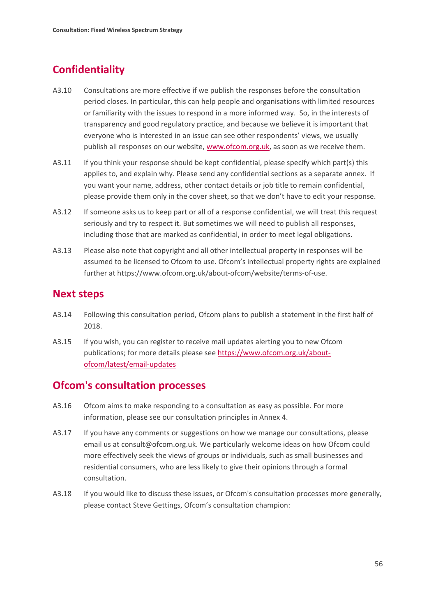# **Confidentiality**

- A3.10 Consultations are more effective if we publish the responses before the consultation period closes. In particular, this can help people and organisations with limited resources or familiarity with the issues to respond in a more informed way. So, in the interests of transparency and good regulatory practice, and because we believe it is important that everyone who is interested in an issue can see other respondents' views, we usually publish all responses on our website, [www.ofcom.org.uk,](http://www.ofcom.org.uk/) as soon as we receive them.
- A3.11 If you think your response should be kept confidential, please specify which part(s) this applies to, and explain why. Please send any confidential sections as a separate annex. If you want your name, address, other contact details or job title to remain confidential, please provide them only in the cover sheet, so that we don't have to edit your response.
- A3.12 If someone asks us to keep part or all of a response confidential, we will treat this request seriously and try to respect it. But sometimes we will need to publish all responses, including those that are marked as confidential, in order to meet legal obligations.
- A3.13 Please also note that copyright and all other intellectual property in responses will be assumed to be licensed to Ofcom to use. Ofcom's intellectual property rights are explained further at https://www.ofcom.org.uk/about-ofcom/website/terms-of-use.

## **Next steps**

- A3.14 Following this consultation period, Ofcom plans to publish a statement in the first half of 2018.
- A3.15 If you wish, you can register to receive mail updates alerting you to new Ofcom publications; for more details please see [https://www.ofcom.org.uk/about](https://www.ofcom.org.uk/about-ofcom/latest/email-updates)[ofcom/latest/email-updates](https://www.ofcom.org.uk/about-ofcom/latest/email-updates)

# **Ofcom's consultation processes**

- A3.16 Ofcom aims to make responding to a consultation as easy as possible. For more information, please see our consultation principles in Annex 4.
- A3.17 If you have any comments or suggestions on how we manage our consultations, please email us at consult@ofcom.org.uk. We particularly welcome ideas on how Ofcom could more effectively seek the views of groups or individuals, such as small businesses and residential consumers, who are less likely to give their opinions through a formal consultation.
- A3.18 If you would like to discuss these issues, or Ofcom's consultation processes more generally, please contact Steve Gettings, Ofcom's consultation champion: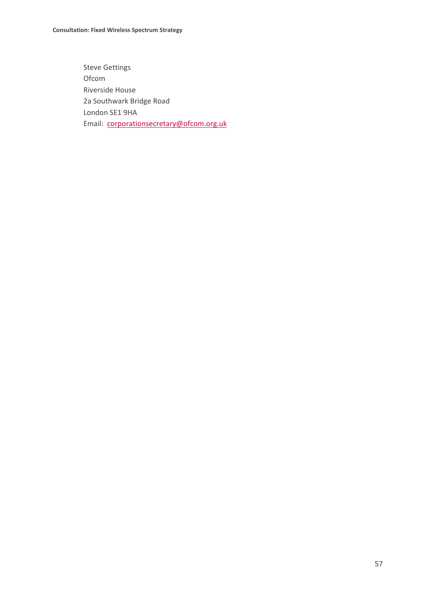Steve Gettings Ofcom Riverside House 2a Southwark Bridge Road London SE1 9HA Email: [corporationsecretary@ofcom.org.uk](mailto:corporationsecretary@ofcom.org.uk)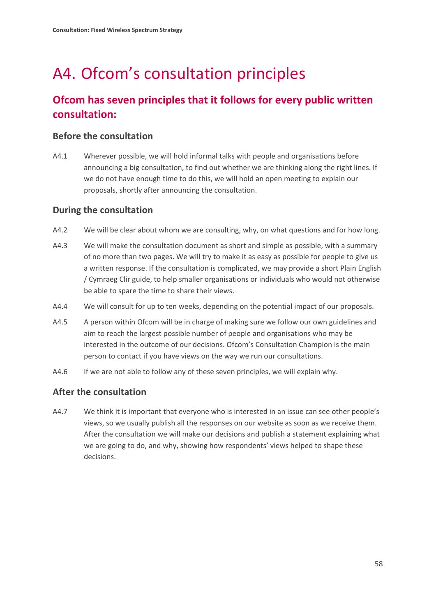# <span id="page-60-0"></span>A4. Ofcom's consultation principles

# **Ofcom has seven principles that it follows for every public written consultation:**

## **Before the consultation**

A4.1 Wherever possible, we will hold informal talks with people and organisations before announcing a big consultation, to find out whether we are thinking along the right lines. If we do not have enough time to do this, we will hold an open meeting to explain our proposals, shortly after announcing the consultation.

## **During the consultation**

- A4.2 We will be clear about whom we are consulting, why, on what questions and for how long.
- A4.3 We will make the consultation document as short and simple as possible, with a summary of no more than two pages. We will try to make it as easy as possible for people to give us a written response. If the consultation is complicated, we may provide a short Plain English / Cymraeg Clir guide, to help smaller organisations or individuals who would not otherwise be able to spare the time to share their views.
- A4.4 We will consult for up to ten weeks, depending on the potential impact of our proposals.
- A4.5 A person within Ofcom will be in charge of making sure we follow our own guidelines and aim to reach the largest possible number of people and organisations who may be interested in the outcome of our decisions. Ofcom's Consultation Champion is the main person to contact if you have views on the way we run our consultations.
- A4.6 If we are not able to follow any of these seven principles, we will explain why.

## **After the consultation**

A4.7 We think it is important that everyone who is interested in an issue can see other people's views, so we usually publish all the responses on our website as soon as we receive them. After the consultation we will make our decisions and publish a statement explaining what we are going to do, and why, showing how respondents' views helped to shape these decisions.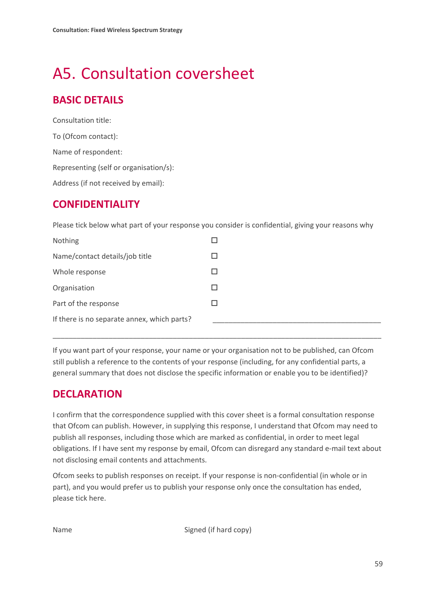# <span id="page-61-0"></span>A5. Consultation coversheet

# **BASIC DETAILS**

Consultation title: To (Ofcom contact): Name of respondent: Representing (self or organisation/s): Address (if not received by email):

# **CONFIDENTIALITY**

Please tick below what part of your response you consider is confidential, giving your reasons why

| Nothing                                     |  |
|---------------------------------------------|--|
| Name/contact details/job title              |  |
| Whole response                              |  |
| Organisation                                |  |
| Part of the response                        |  |
| If there is no separate annex, which parts? |  |

If you want part of your response, your name or your organisation not to be published, can Ofcom still publish a reference to the contents of your response (including, for any confidential parts, a general summary that does not disclose the specific information or enable you to be identified)?

\_\_\_\_\_\_\_\_\_\_\_\_\_\_\_\_\_\_\_\_\_\_\_\_\_\_\_\_\_\_\_\_\_\_\_\_\_\_\_\_\_\_\_\_\_\_\_\_\_\_\_\_\_\_\_\_\_\_\_\_\_\_\_\_\_\_\_\_\_\_\_\_\_\_\_\_\_\_\_\_\_\_

# **DECLARATION**

I confirm that the correspondence supplied with this cover sheet is a formal consultation response that Ofcom can publish. However, in supplying this response, I understand that Ofcom may need to publish all responses, including those which are marked as confidential, in order to meet legal obligations. If I have sent my response by email, Ofcom can disregard any standard e-mail text about not disclosing email contents and attachments.

Ofcom seeks to publish responses on receipt. If your response is non-confidential (in whole or in part), and you would prefer us to publish your response only once the consultation has ended, please tick here.

Name Signed (if hard copy)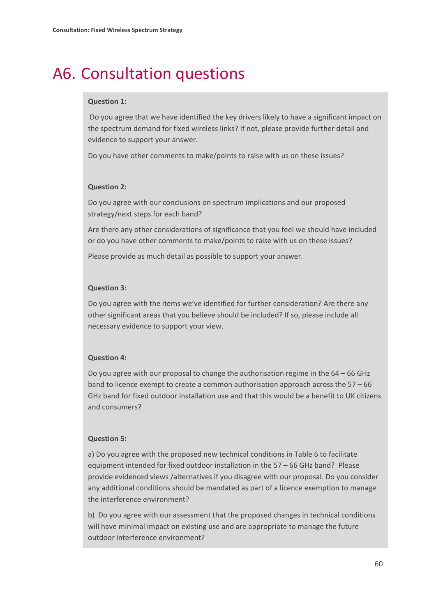# <span id="page-62-0"></span>A6. Consultation questions

### **Question 1:**

Do you agree that we have identified the key drivers likely to have a significant impact on the spectrum demand for fixed wireless links? If not, please provide further detail and evidence to support your answer.

Do you have other comments to make/points to raise with us on these issues?

### **Question 2:**

Do you agree with our conclusions on spectrum implications and our proposed strategy/next steps for each band?

Are there any other considerations of significance that you feel we should have included or do you have other comments to make/points to raise with us on these issues?

Please provide as much detail as possible to support your answer.

### **Question 3:**

Do you agree with the items we've identified for further consideration? Are there any other significant areas that you believe should be included? If so, please include all necessary evidence to support your view.

### **Question 4:**

Do you agree with our proposal to change the authorisation regime in the  $64 - 66$  GHz band to licence exempt to create a common authorisation approach across the 57 – 66 GHz band for fixed outdoor installation use and that this would be a benefit to UK citizens and consumers?

### **Question 5:**

a) Do you agree with the proposed new technical conditions in Table 6 to facilitate equipment intended for fixed outdoor installation in the 57 – 66 GHz band? Please provide evidenced views /alternatives if you disagree with our proposal. Do you consider any additional conditions should be mandated as part of a licence exemption to manage the interference environment?

b) Do you agree with our assessment that the proposed changes in technical conditions will have minimal impact on existing use and are appropriate to manage the future outdoor interference environment?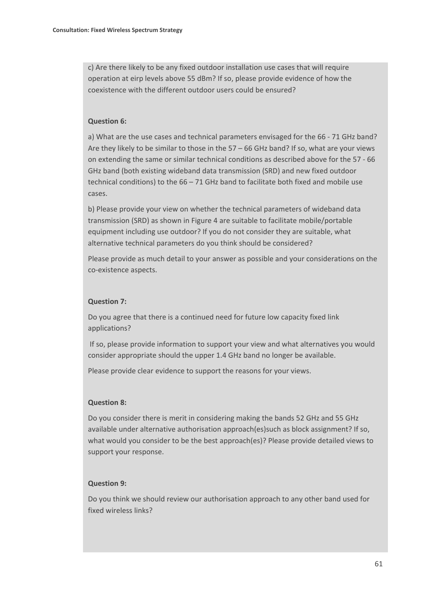c) Are there likely to be any fixed outdoor installation use cases that will require operation at eirp levels above 55 dBm? If so, please provide evidence of how the coexistence with the different outdoor users could be ensured?

### **Question 6:**

a) What are the use cases and technical parameters envisaged for the 66 - 71 GHz band? Are they likely to be similar to those in the 57 – 66 GHz band? If so, what are your views on extending the same or similar technical conditions as described above for the 57 - 66 GHz band (both existing wideband data transmission (SRD) and new fixed outdoor technical conditions) to the 66 – 71 GHz band to facilitate both fixed and mobile use cases.

b) Please provide your view on whether the technical parameters of wideband data transmission (SRD) as shown in Figure 4 are suitable to facilitate mobile/portable equipment including use outdoor? If you do not consider they are suitable, what alternative technical parameters do you think should be considered?

Please provide as much detail to your answer as possible and your considerations on the co-existence aspects.

#### **Question 7:**

Do you agree that there is a continued need for future low capacity fixed link applications?

If so, please provide information to support your view and what alternatives you would consider appropriate should the upper 1.4 GHz band no longer be available.

Please provide clear evidence to support the reasons for your views.

### **Question 8:**

Do you consider there is merit in considering making the bands 52 GHz and 55 GHz available under alternative authorisation approach(es)such as block assignment? If so, what would you consider to be the best approach(es)? Please provide detailed views to support your response.

### **Question 9:**

Do you think we should review our authorisation approach to any other band used for fixed wireless links?